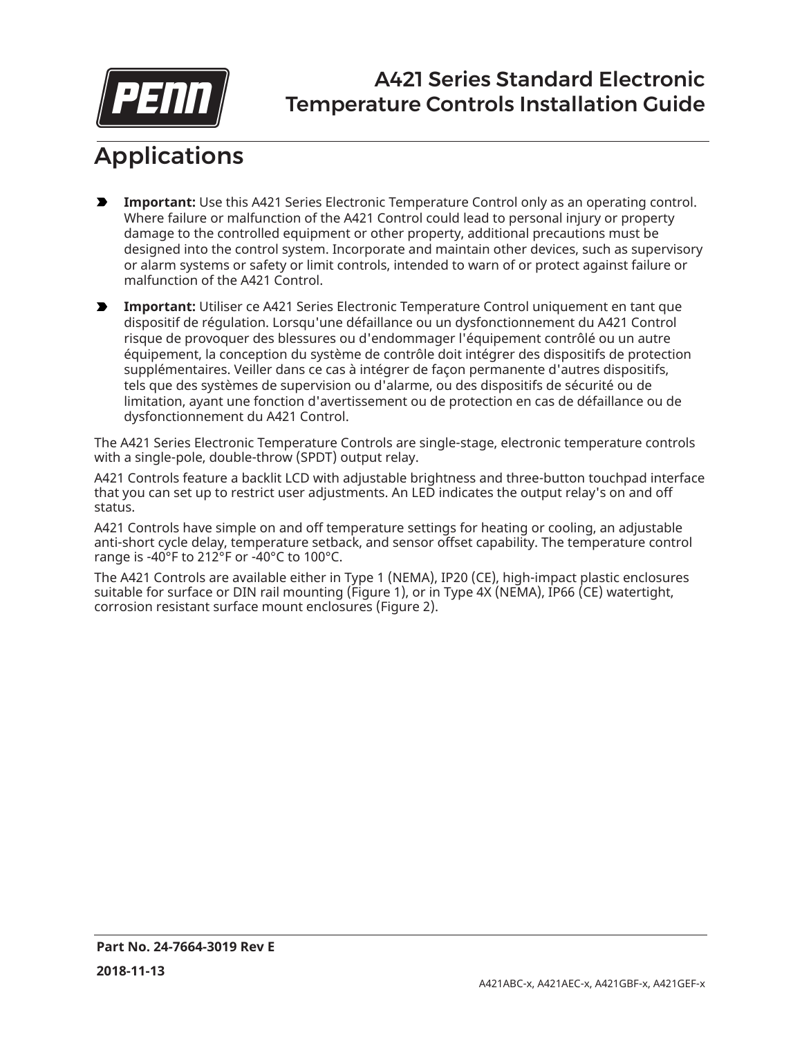

## A421 Series Standard Electronic Temperature Controls Installation Guide

# Applications

- **Important:** Use this A421 Series Electronic Temperature Control only as an operating control. Where failure or malfunction of the A421 Control could lead to personal injury or property damage to the controlled equipment or other property, additional precautions must be designed into the control system. Incorporate and maintain other devices, such as supervisory or alarm systems or safety or limit controls, intended to warn of or protect against failure or malfunction of the A421 Control.
- **Important:** Utiliser ce A421 Series Electronic Temperature Control uniquement en tant que dispositif de régulation. Lorsqu'une défaillance ou un dysfonctionnement du A421 Control risque de provoquer des blessures ou d'endommager l'équipement contrôlé ou un autre équipement, la conception du système de contrôle doit intégrer des dispositifs de protection supplémentaires. Veiller dans ce cas à intégrer de façon permanente d'autres dispositifs, tels que des systèmes de supervision ou d'alarme, ou des dispositifs de sécurité ou de limitation, ayant une fonction d'avertissement ou de protection en cas de défaillance ou de dysfonctionnement du A421 Control.

The A421 Series Electronic Temperature Controls are single-stage, electronic temperature controls with a single-pole, double-throw (SPDT) output relay.

A421 Controls feature a backlit LCD with adjustable brightness and three-button touchpad interface that you can set up to restrict user adjustments. An LED indicates the output relay's on and off status.

A421 Controls have simple on and off temperature settings for heating or cooling, an adjustable anti-short cycle delay, temperature setback, and sensor offset capability. The temperature control range is -40°F to 212°F or -40°C to 100°C.

The A421 Controls are available either in Type 1 (NEMA), IP20 (CE), high-impact plastic enclosures suitable for surface or DIN rail mounting [\(Figure](#page-1-0) 1), or in Type 4X (NEMA), IP66 (CE) watertight, corrosion resistant surface mount enclosures ([Figure](#page-1-1) 2).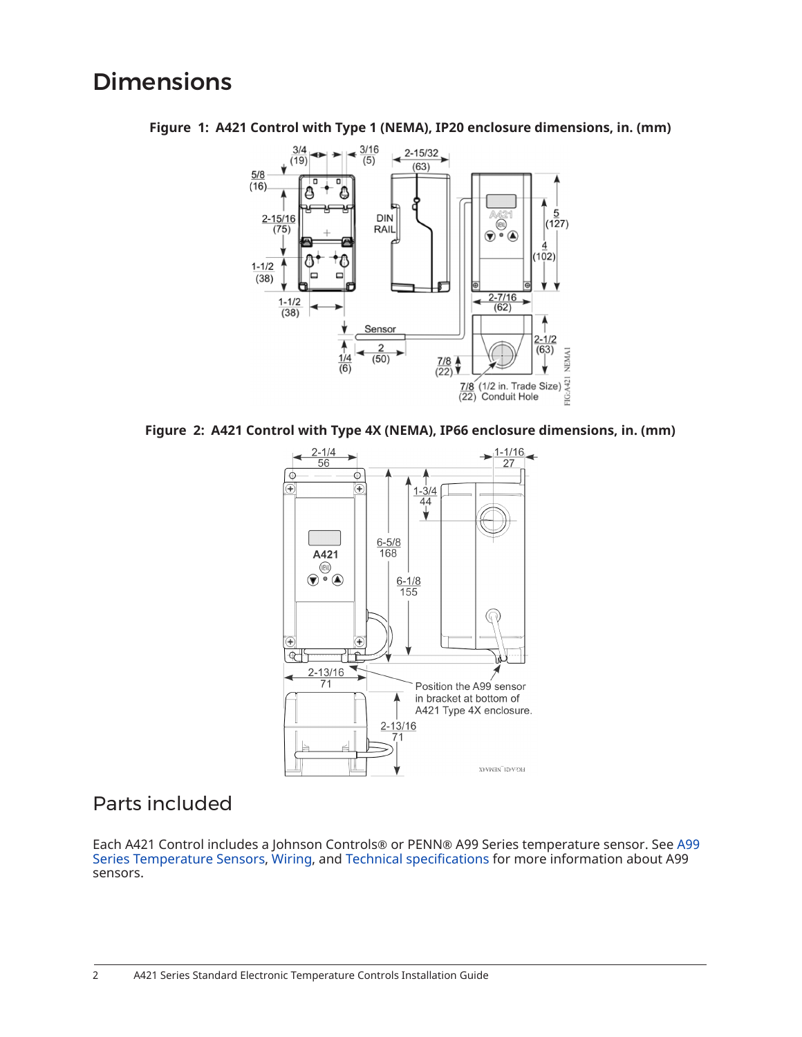## **Dimensions**

<span id="page-1-0"></span>

**Figure 1: A421 Control with Type 1 (NEMA), IP20 enclosure dimensions, in. (mm)**

<span id="page-1-1"></span>



### Parts included

Each A421 Control includes a Johnson Controls® or PENN® A99 Series temperature sensor. See [A99](#page-2-0) Series [Temperature](#page-2-0) Sensors, [Wiring](#page-4-0), and Technical [specifications](#page-21-0) for more information about A99 sensors.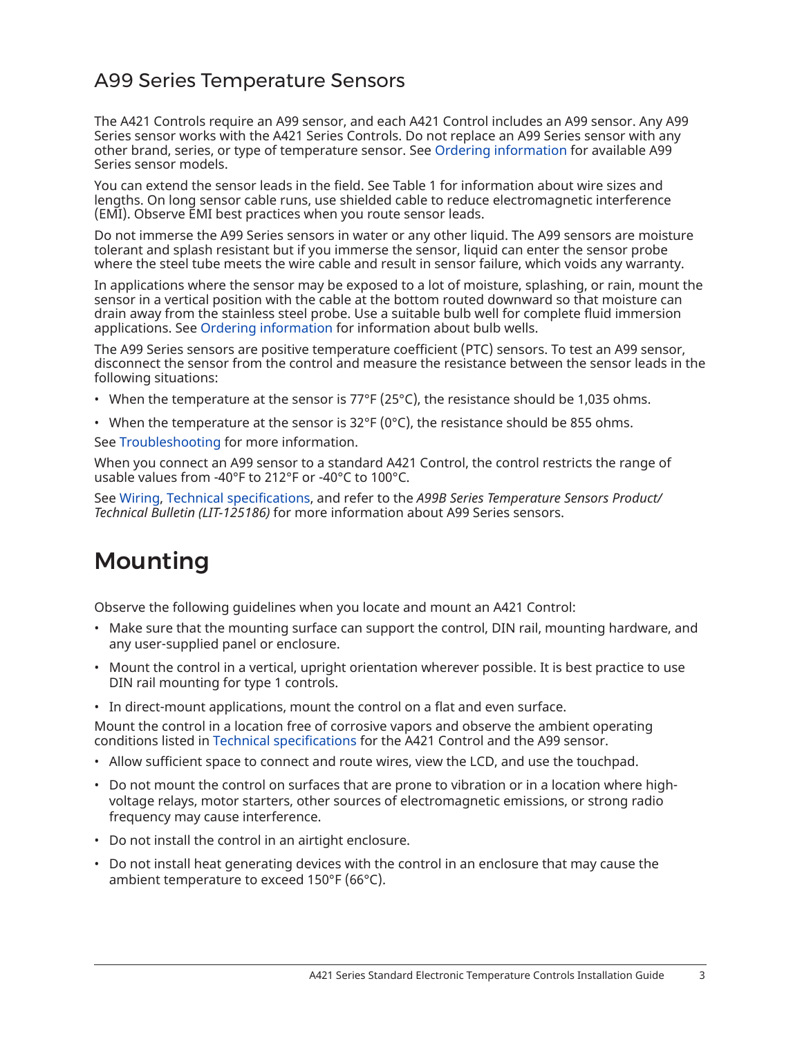## <span id="page-2-0"></span>A99 Series Temperature Sensors

The A421 Controls require an A99 sensor, and each A421 Control includes an A99 sensor. Any A99 Series sensor works with the A421 Series Controls. Do not replace an A99 Series sensor with any other brand, series, or type of temperature sensor. See Ordering [information](#page-19-0) for available A99 Series sensor models.

You can extend the sensor leads in the field. See [Table](#page-5-0) 1 for information about wire sizes and lengths. On long sensor cable runs, use shielded cable to reduce electromagnetic interference (EMI). Observe EMI best practices when you route sensor leads.

Do not immerse the A99 Series sensors in water or any other liquid. The A99 sensors are moisture tolerant and splash resistant but if you immerse the sensor, liquid can enter the sensor probe where the steel tube meets the wire cable and result in sensor failure, which voids any warranty.

In applications where the sensor may be exposed to a lot of moisture, splashing, or rain, mount the sensor in a vertical position with the cable at the bottom routed downward so that moisture can drain away from the stainless steel probe. Use a suitable bulb well for complete fluid immersion applications. See Ordering [information](#page-19-0) for information about bulb wells.

The A99 Series sensors are positive temperature coefficient (PTC) sensors. To test an A99 sensor, disconnect the sensor from the control and measure the resistance between the sensor leads in the following situations:

- When the temperature at the sensor is  $77^{\circ}F(25^{\circ}C)$ , the resistance should be 1,035 ohms.
- When the temperature at the sensor is  $32^{\circ}F(0^{\circ}C)$ , the resistance should be 855 ohms.

See [Troubleshooting](#page-17-0) for more information.

When you connect an A99 sensor to a standard A421 Control, the control restricts the range of usable values from -40°F to 212°F or -40°C to 100°C.

See [Wiring](#page-4-0), Technical [specifications,](#page-21-0) and refer to the *A99B Series Temperature Sensors Product/ Technical Bulletin (LIT-125186)* for more information about A99 Series sensors.

# Mounting

Observe the following guidelines when you locate and mount an A421 Control:

- Make sure that the mounting surface can support the control, DIN rail, mounting hardware, and any user-supplied panel or enclosure.
- Mount the control in a vertical, upright orientation wherever possible. It is best practice to use DIN rail mounting for type 1 controls.
- In direct-mount applications, mount the control on a flat and even surface.

Mount the control in a location free of corrosive vapors and observe the ambient operating conditions listed in Technical [specifications](#page-21-0) for the A421 Control and the A99 sensor.

- Allow sufficient space to connect and route wires, view the LCD, and use the touchpad.
- Do not mount the control on surfaces that are prone to vibration or in a location where highvoltage relays, motor starters, other sources of electromagnetic emissions, or strong radio frequency may cause interference.
- Do not install the control in an airtight enclosure.
- Do not install heat generating devices with the control in an enclosure that may cause the ambient temperature to exceed 150°F (66°C).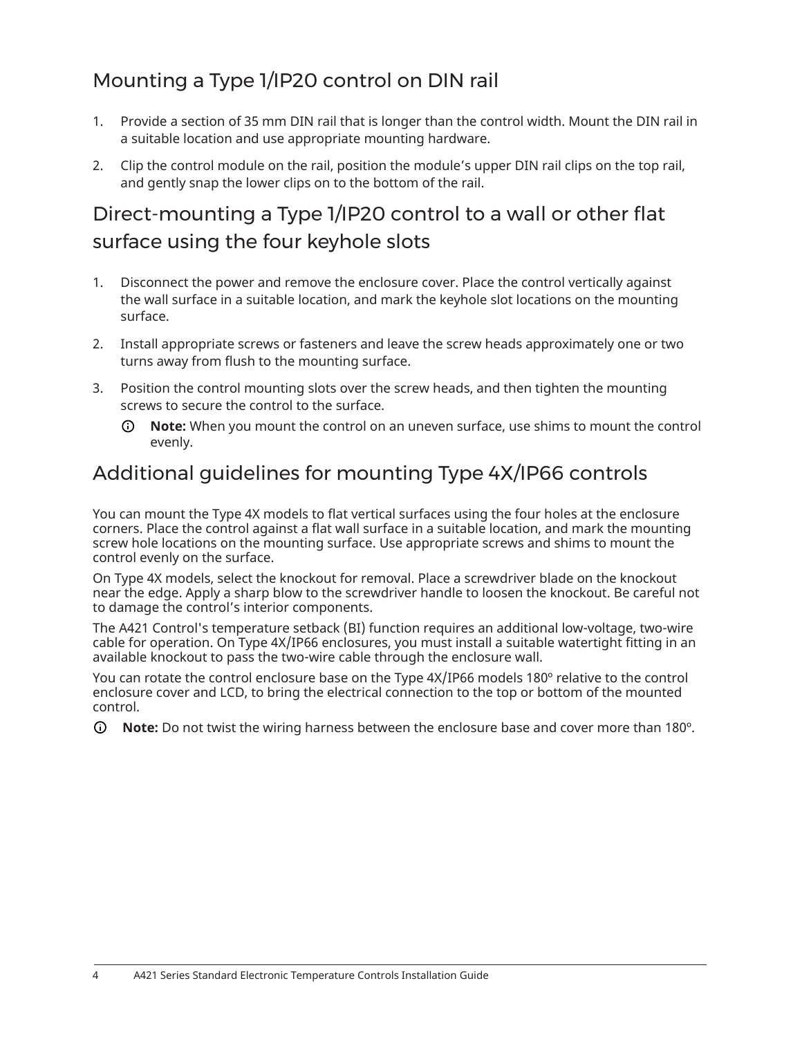## Mounting a Type 1/IP20 control on DIN rail

- 1. Provide a section of 35 mm DIN rail that is longer than the control width. Mount the DIN rail in a suitable location and use appropriate mounting hardware.
- 2. Clip the control module on the rail, position the module's upper DIN rail clips on the top rail, and gently snap the lower clips on to the bottom of the rail.

## Direct-mounting a Type 1/IP20 control to a wall or other flat surface using the four keyhole slots

- 1. Disconnect the power and remove the enclosure cover. Place the control vertically against the wall surface in a suitable location, and mark the keyhole slot locations on the mounting surface.
- 2. Install appropriate screws or fasteners and leave the screw heads approximately one or two turns away from flush to the mounting surface.
- 3. Position the control mounting slots over the screw heads, and then tighten the mounting screws to secure the control to the surface.
	- **Note:** When you mount the control on an uneven surface, use shims to mount the control  $\odot$ evenly.

## Additional guidelines for mounting Type 4X/IP66 controls

You can mount the Type 4X models to flat vertical surfaces using the four holes at the enclosure corners. Place the control against a flat wall surface in a suitable location, and mark the mounting screw hole locations on the mounting surface. Use appropriate screws and shims to mount the control evenly on the surface.

On Type 4X models, select the knockout for removal. Place a screwdriver blade on the knockout near the edge. Apply a sharp blow to the screwdriver handle to loosen the knockout. Be careful not to damage the control's interior components.

The A421 Control's temperature setback (BI) function requires an additional low-voltage, two-wire cable for operation. On Type 4X/IP66 enclosures, you must install a suitable watertight fitting in an available knockout to pass the two-wire cable through the enclosure wall.

You can rotate the control enclosure base on the Type 4X/IP66 models 180º relative to the control enclosure cover and LCD, to bring the electrical connection to the top or bottom of the mounted control.

∩ **Note:** Do not twist the wiring harness between the enclosure base and cover more than 180º.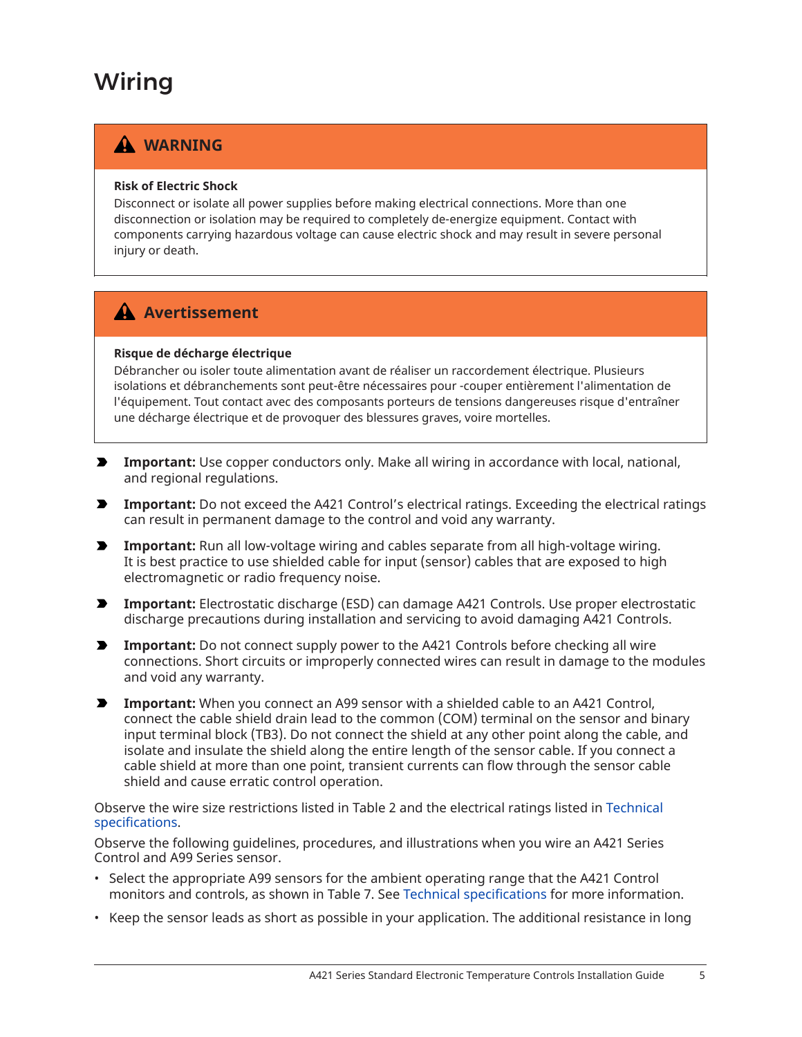# <span id="page-4-0"></span>Wiring

## **WARNING**

#### **Risk of Electric Shock**

Disconnect or isolate all power supplies before making electrical connections. More than one disconnection or isolation may be required to completely de-energize equipment. Contact with components carrying hazardous voltage can cause electric shock and may result in severe personal injury or death.

### **Avertissement**

#### **Risque de décharge électrique**

Débrancher ou isoler toute alimentation avant de réaliser un raccordement électrique. Plusieurs isolations et débranchements sont peut-être nécessaires pour -couper entièrement l'alimentation de l'équipement. Tout contact avec des composants porteurs de tensions dangereuses risque d'entraîner une décharge électrique et de provoquer des blessures graves, voire mortelles.

- **Important:** Use copper conductors only. Make all wiring in accordance with local, national, and regional regulations.
- **Important:** Do not exceed the A421 Control's electrical ratings. Exceeding the electrical ratings can result in permanent damage to the control and void any warranty.
- **Important:** Run all low-voltage wiring and cables separate from all high-voltage wiring. It is best practice to use shielded cable for input (sensor) cables that are exposed to high electromagnetic or radio frequency noise.
- **Important:** Electrostatic discharge (ESD) can damage A421 Controls. Use proper electrostatic discharge precautions during installation and servicing to avoid damaging A421 Controls.
- **Important:** Do not connect supply power to the A421 Controls before checking all wire  $\blacktriangleright$ connections. Short circuits or improperly connected wires can result in damage to the modules and void any warranty.
- **Important:** When you connect an A99 sensor with a shielded cable to an A421 Control, connect the cable shield drain lead to the common (COM) terminal on the sensor and binary input terminal block (TB3). Do not connect the shield at any other point along the cable, and isolate and insulate the shield along the entire length of the sensor cable. If you connect a cable shield at more than one point, transient currents can flow through the sensor cable shield and cause erratic control operation.

Observe the wire size restrictions listed in [Table](#page-6-0) 2 and the electrical ratings listed in [Technical](#page-21-0) [specifications.](#page-21-0)

Observe the following guidelines, procedures, and illustrations when you wire an A421 Series Control and A99 Series sensor.

- Select the appropriate A99 sensors for the ambient operating range that the A421 Control monitors and controls, as shown in [Table](#page-20-0) 7. See Technical [specifications](#page-21-0) for more information.
- Keep the sensor leads as short as possible in your application. The additional resistance in long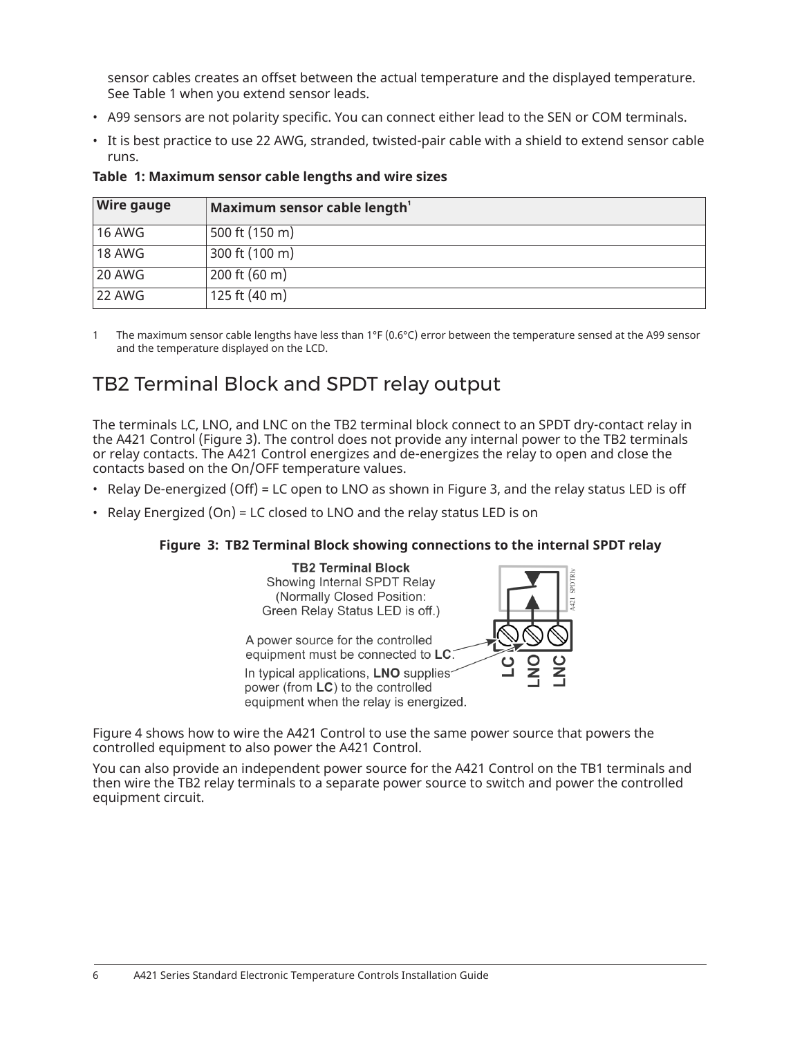sensor cables creates an offset between the actual temperature and the displayed temperature. See [Table](#page-5-0) 1 when you extend sensor leads.

- A99 sensors are not polarity specific. You can connect either lead to the SEN or COM terminals.
- It is best practice to use 22 AWG, stranded, twisted-pair cable with a shield to extend sensor cable runs.

| <b>Wire gauge</b> | Maximum sensor cable length <sup>1</sup> |
|-------------------|------------------------------------------|
| 16 AWG            | 500 ft (150 m)                           |
| 18 AWG            | 300 ft (100 m)                           |
| 20 AWG            | 200 ft (60 m)                            |
| <b>22 AWG</b>     | 125 ft (40 m)                            |

#### <span id="page-5-0"></span>**Table 1: Maximum sensor cable lengths and wire sizes**

<span id="page-5-1"></span>1 The maximum sensor cable lengths have less than 1°F (0.6°C) error between the temperature sensed at the A99 sensor and the temperature displayed on the LCD.

## TB2 Terminal Block and SPDT relay output

The terminals LC, LNO, and LNC on the TB2 terminal block connect to an SPDT dry-contact relay in the A421 Control [\(Figure](#page-5-2) 3). The control does not provide any internal power to the TB2 terminals or relay contacts. The A421 Control energizes and de-energizes the relay to open and close the contacts based on the On/OFF temperature values.

- Relay De-energized (Off) = LC open to LNO as shown in [Figure](#page-5-2) 3, and the relay status LED is off
- Relay Energized (On) = LC closed to LNO and the relay status LED is on

#### **Figure 3: TB2 Terminal Block showing connections to the internal SPDT relay**

<span id="page-5-2"></span>

equipment when the relay is energized.



[Figure](#page-6-1) 4 shows how to wire the A421 Control to use the same power source that powers the controlled equipment to also power the A421 Control.

You can also provide an independent power source for the A421 Control on the TB1 terminals and then wire the TB2 relay terminals to a separate power source to switch and power the controlled equipment circuit.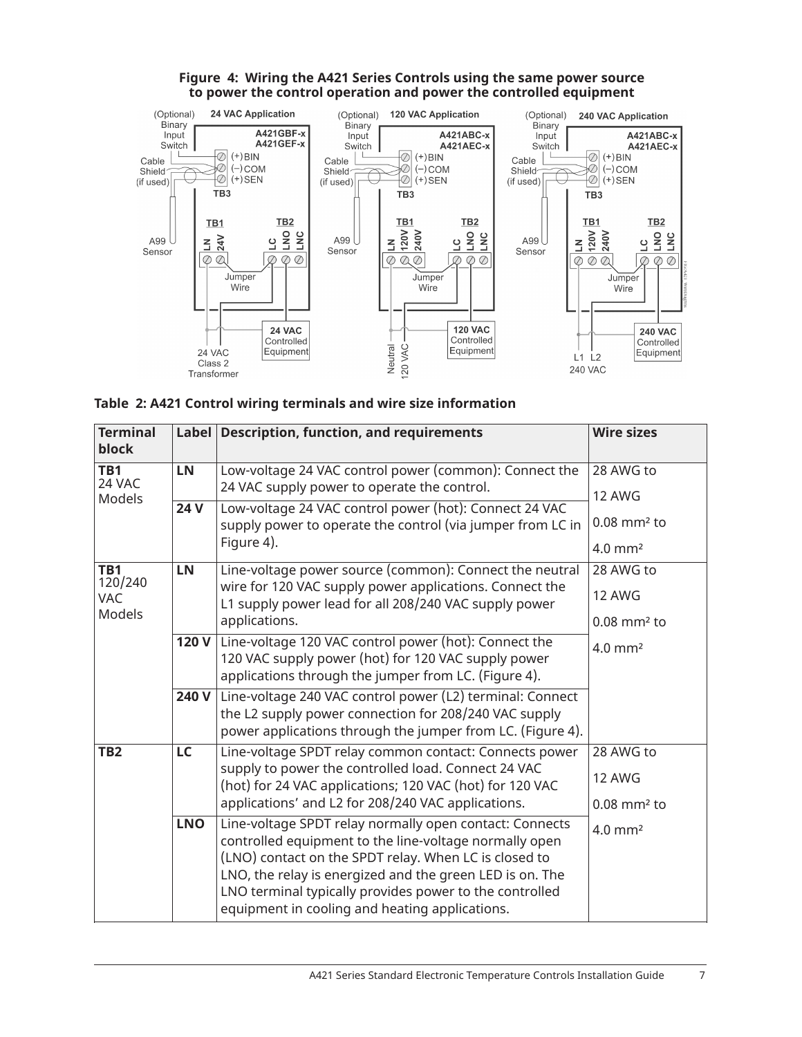

#### <span id="page-6-1"></span>**Figure 4: Wiring the A421 Series Controls using the same power source to power the control operation and power the controlled equipment**

<span id="page-6-0"></span>

|  |  | Table 2: A421 Control wiring terminals and wire size information |  |  |  |
|--|--|------------------------------------------------------------------|--|--|--|
|  |  |                                                                  |  |  |  |

| <b>Terminal</b><br>block     |            | Label Description, function, and requirements                                                                                                                                                                                                                                                                                                       | <b>Wire sizes</b>                   |
|------------------------------|------------|-----------------------------------------------------------------------------------------------------------------------------------------------------------------------------------------------------------------------------------------------------------------------------------------------------------------------------------------------------|-------------------------------------|
| $\overline{TB1}$<br>24 VAC   | LN         | Low-voltage 24 VAC control power (common): Connect the                                                                                                                                                                                                                                                                                              | 28 AWG to                           |
| Models                       | 24 V       | 24 VAC supply power to operate the control.<br>Low-voltage 24 VAC control power (hot): Connect 24 VAC                                                                                                                                                                                                                                               | 12 AWG<br>$0.08$ mm <sup>2</sup> to |
|                              |            | supply power to operate the control (via jumper from LC in<br>Figure 4).                                                                                                                                                                                                                                                                            | $4.0 \text{ mm}^2$                  |
| TB1<br>120/240<br><b>VAC</b> | LN         | Line-voltage power source (common): Connect the neutral<br>wire for 120 VAC supply power applications. Connect the<br>L1 supply power lead for all 208/240 VAC supply power                                                                                                                                                                         | 28 AWG to<br><b>12 AWG</b>          |
| Models                       |            | applications.                                                                                                                                                                                                                                                                                                                                       | $0.08$ mm <sup>2</sup> to           |
|                              | 120 V      | Line-voltage 120 VAC control power (hot): Connect the<br>120 VAC supply power (hot) for 120 VAC supply power<br>applications through the jumper from LC. (Figure 4).                                                                                                                                                                                | $4.0$ mm <sup>2</sup>               |
|                              | 240 V      | Line-voltage 240 VAC control power (L2) terminal: Connect<br>the L2 supply power connection for 208/240 VAC supply<br>power applications through the jumper from LC. (Figure 4).                                                                                                                                                                    |                                     |
| TB <sub>2</sub>              | LC         | Line-voltage SPDT relay common contact: Connects power                                                                                                                                                                                                                                                                                              | 28 AWG to                           |
|                              |            | supply to power the controlled load. Connect 24 VAC<br>(hot) for 24 VAC applications; 120 VAC (hot) for 120 VAC                                                                                                                                                                                                                                     | 12 AWG                              |
|                              |            | applications' and L2 for 208/240 VAC applications.                                                                                                                                                                                                                                                                                                  | $0.08$ mm <sup>2</sup> to           |
|                              | <b>LNO</b> | Line-voltage SPDT relay normally open contact: Connects<br>controlled equipment to the line-voltage normally open<br>(LNO) contact on the SPDT relay. When LC is closed to<br>LNO, the relay is energized and the green LED is on. The<br>LNO terminal typically provides power to the controlled<br>equipment in cooling and heating applications. | $4.0$ mm <sup>2</sup>               |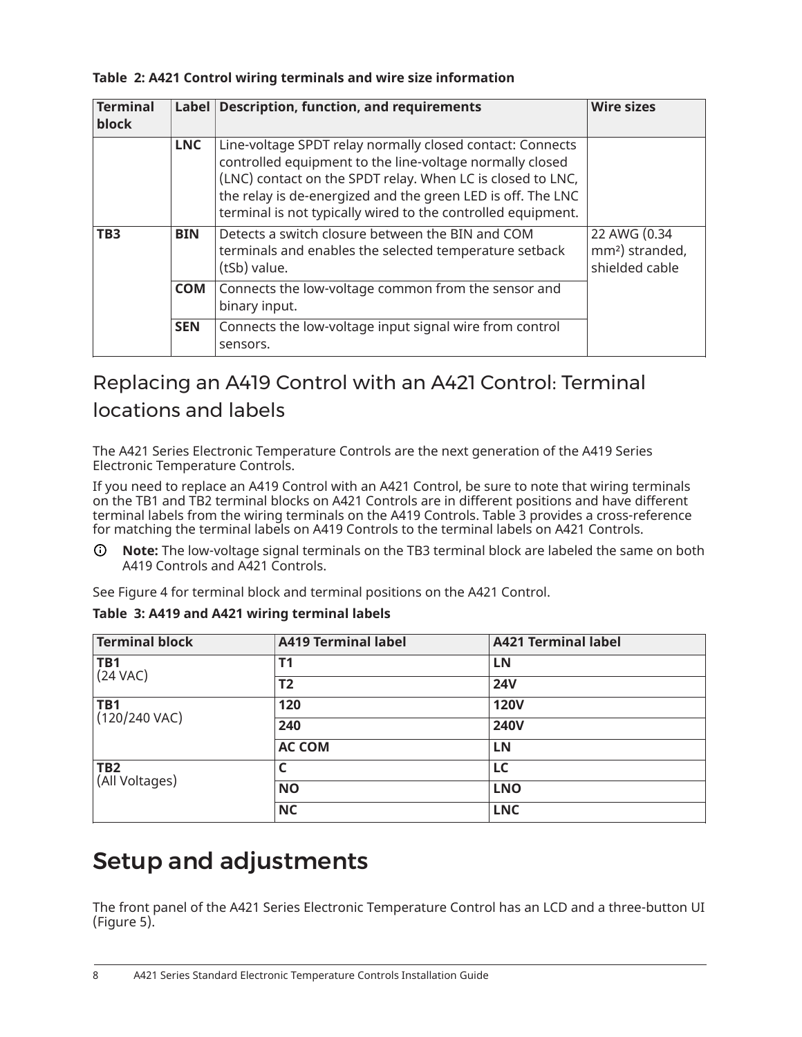#### **Table 2: A421 Control wiring terminals and wire size information**

| <b>Terminal</b><br>block | Label      | <b>Description, function, and requirements</b>                                                                                                                                                                                                                                                                     | <b>Wire sizes</b>                                             |
|--------------------------|------------|--------------------------------------------------------------------------------------------------------------------------------------------------------------------------------------------------------------------------------------------------------------------------------------------------------------------|---------------------------------------------------------------|
|                          | <b>LNC</b> | Line-voltage SPDT relay normally closed contact: Connects<br>controlled equipment to the line-voltage normally closed<br>(LNC) contact on the SPDT relay. When LC is closed to LNC,<br>the relay is de-energized and the green LED is off. The LNC<br>terminal is not typically wired to the controlled equipment. |                                                               |
| TB <sub>3</sub>          | <b>BIN</b> | Detects a switch closure between the BIN and COM<br>terminals and enables the selected temperature setback<br>(tSb) value.                                                                                                                                                                                         | 22 AWG (0.34<br>mm <sup>2</sup> ) stranded,<br>shielded cable |
|                          | <b>COM</b> | Connects the low-voltage common from the sensor and<br>binary input.                                                                                                                                                                                                                                               |                                                               |
|                          | <b>SEN</b> | Connects the low-voltage input signal wire from control<br>sensors.                                                                                                                                                                                                                                                |                                                               |

## Replacing an A419 Control with an A421 Control: Terminal locations and labels

The A421 Series Electronic Temperature Controls are the next generation of the A419 Series Electronic Temperature Controls.

If you need to replace an A419 Control with an A421 Control, be sure to note that wiring terminals on the TB1 and TB2 terminal blocks on A421 Controls are in different positions and have different terminal labels from the wiring terminals on the A419 Controls. [Table](#page-7-0) 3 provides a cross-reference for matching the terminal labels on A419 Controls to the terminal labels on A421 Controls.

 $\odot$ **Note:** The low-voltage signal terminals on the TB3 terminal block are labeled the same on both A419 Controls and A421 Controls.

See [Figure](#page-6-1) 4 for terminal block and terminal positions on the A421 Control.

| <b>Terminal block</b>             | <b>A419 Terminal label</b> | <b>A421 Terminal label</b> |
|-----------------------------------|----------------------------|----------------------------|
| <b>TB1</b><br>$(24 \text{ VAC})$  | T1                         | LN                         |
|                                   | T <sub>2</sub>             | <b>24V</b>                 |
| <b>TB1</b><br>$(120/240$ VAC)     | 120                        | <b>120V</b>                |
|                                   | 240                        | <b>240V</b>                |
|                                   | <b>AC COM</b>              | LN                         |
| TB <sub>2</sub><br>(All Voltages) |                            | LC                         |
|                                   | <b>NO</b>                  | <b>LNO</b>                 |
|                                   | <b>NC</b>                  | <b>LNC</b>                 |

#### <span id="page-7-0"></span>**Table 3: A419 and A421 wiring terminal labels**

# Setup and adjustments

The front panel of the A421 Series Electronic Temperature Control has an LCD and a three-button UI [\(Figure](#page-8-0) 5).

8 A421 Series Standard Electronic Temperature Controls Installation Guide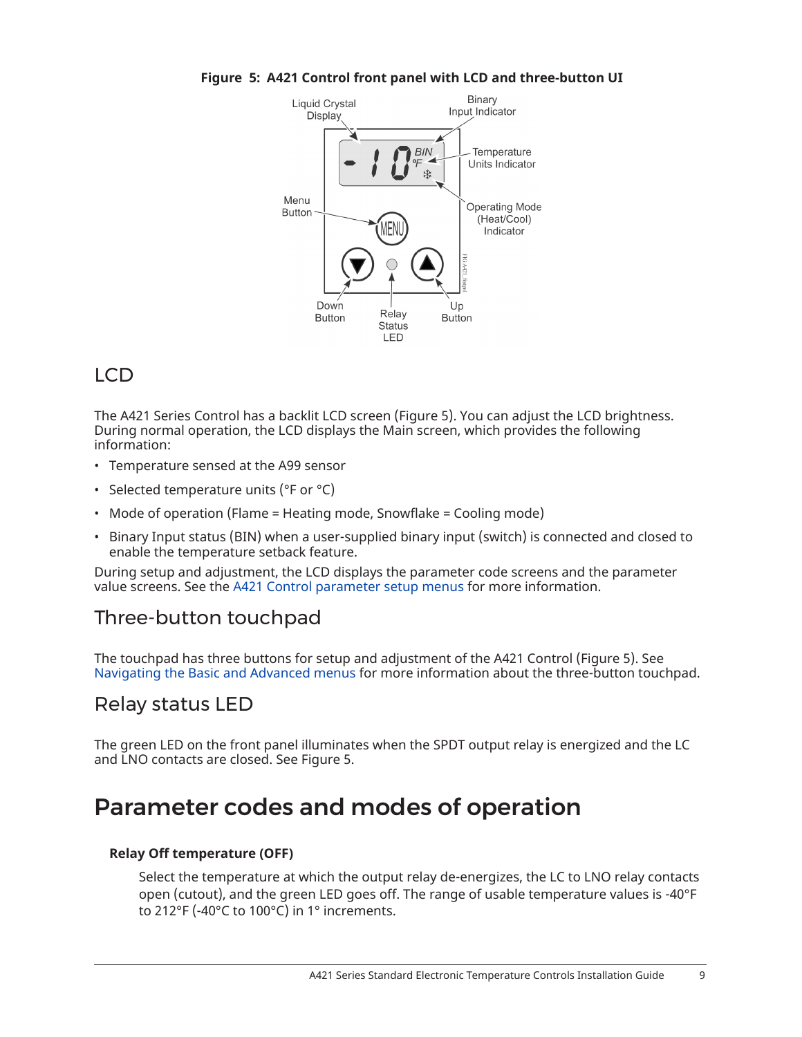<span id="page-8-0"></span>

**Figure 5: A421 Control front panel with LCD and three-button UI**

## LCD

The A421 Series Control has a backlit LCD screen ([Figure](#page-8-0) 5). You can adjust the LCD brightness. During normal operation, the LCD displays the Main screen, which provides the following information:

- Temperature sensed at the A99 sensor
- Selected temperature units (°F or °C)
- Mode of operation (Flame = Heating mode, Snowflake = Cooling mode)
- Binary Input status (BIN) when a user-supplied binary input (switch) is connected and closed to enable the temperature setback feature.

During setup and adjustment, the LCD displays the parameter code screens and the parameter value screens. See the A421 Control [parameter](#page-11-0) setup menus for more information.

### Three-button touchpad

The touchpad has three buttons for setup and adjustment of the A421 Control ([Figure](#page-8-0) 5). See [Navigating the Basic and Advanced menus](#page-12-0) for more information about the three-button touchpad.

### Relay status LED

The green LED on the front panel illuminates when the SPDT output relay is energized and the LC and LNO contacts are closed. See [Figure](#page-8-0) 5.

## <span id="page-8-1"></span>Parameter codes and modes of operation

#### **Relay Off temperature (OFF)**

Select the temperature at which the output relay de-energizes, the LC to LNO relay contacts open (cutout), and the green LED goes off. The range of usable temperature values is -40°F to 212°F (-40°C to 100°C) in 1° increments.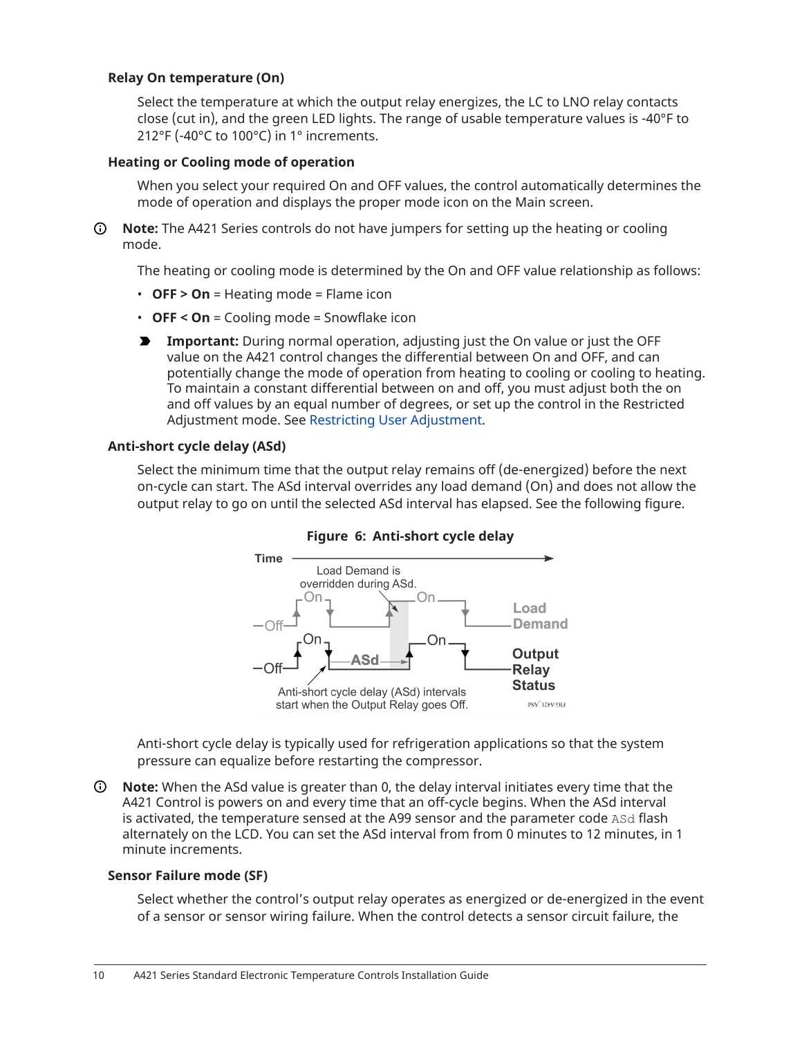#### **Relay On temperature (On)**

Select the temperature at which the output relay energizes, the LC to LNO relay contacts close (cut in), and the green LED lights. The range of usable temperature values is -40°F to 212°F (-40°C to 100°C) in 1° increments.

#### **Heating or Cooling mode of operation**

When you select your required On and OFF values, the control automatically determines the mode of operation and displays the proper mode icon on the Main screen.

**Note:** The A421 Series controls do not have jumpers for setting up the heating or cooling mode.

The heating or cooling mode is determined by the On and OFF value relationship as follows:

- **OFF > On** = Heating mode = Flame icon
- **OFF < On** = Cooling mode = Snowflake icon
- **Important:** During normal operation, adjusting just the On value or just the OFF value on the A421 control changes the differential between On and OFF, and can potentially change the mode of operation from heating to cooling or cooling to heating. To maintain a constant differential between on and off, you must adjust both the on and off values by an equal number of degrees, or set up the control in the Restricted Adjustment mode. See [Restricting User Adjustment](#page-15-0).

#### **Anti-short cycle delay (ASd)**

Select the minimum time that the output relay remains off (de-energized) before the next on-cycle can start. The ASd interval overrides any load demand (On) and does not allow the output relay to go on until the selected ASd interval has elapsed. See the following figure.





Anti-short cycle delay is typically used for refrigeration applications so that the system pressure can equalize before restarting the compressor.

**Note:** When the ASd value is greater than 0, the delay interval initiates every time that the A421 Control is powers on and every time that an off-cycle begins. When the ASd interval is activated, the temperature sensed at the A99 sensor and the parameter code ASd flash alternately on the LCD. You can set the ASd interval from from 0 minutes to 12 minutes, in 1 minute increments.

#### **Sensor Failure mode (SF)**

Select whether the control's output relay operates as energized or de-energized in the event of a sensor or sensor wiring failure. When the control detects a sensor circuit failure, the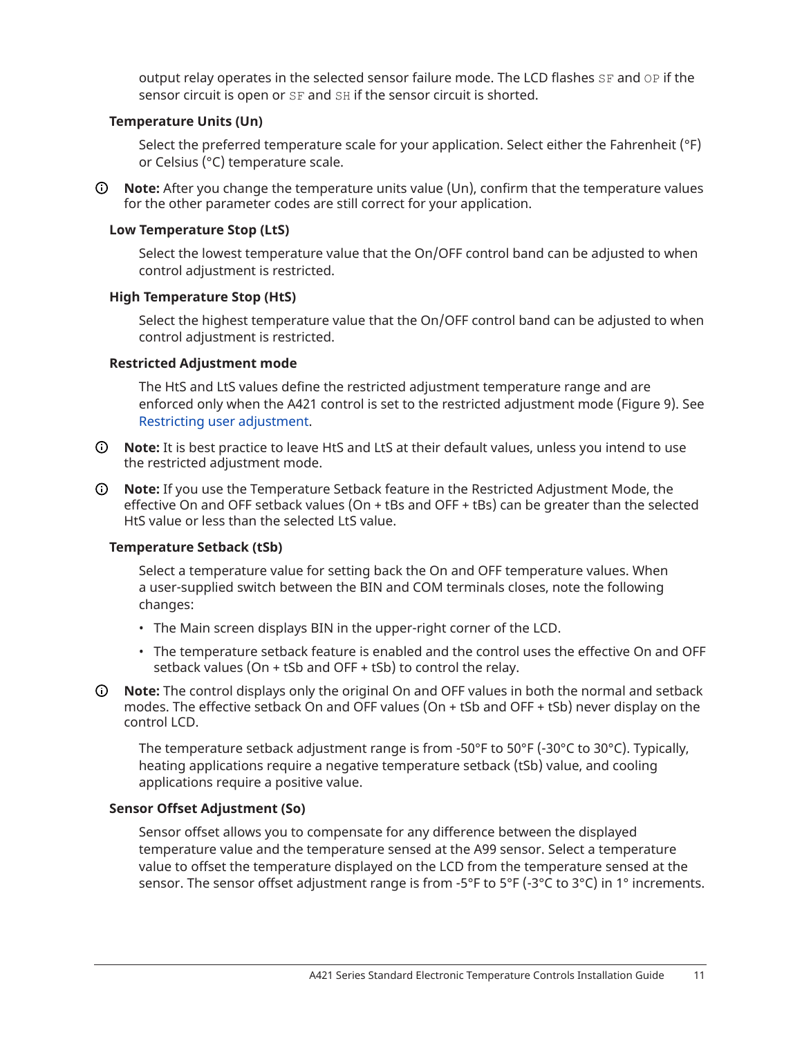output relay operates in the selected sensor failure mode. The LCD flashes SF and OP if the sensor circuit is open or SF and SH if the sensor circuit is shorted.

#### **Temperature Units (Un)**

Select the preferred temperature scale for your application. Select either the Fahrenheit (°F) or Celsius (°C) temperature scale.

**Note:** After you change the temperature units value (Un), confirm that the temperature values for the other parameter codes are still correct for your application.

#### **Low Temperature Stop (LtS)**

Select the lowest temperature value that the On/OFF control band can be adjusted to when control adjustment is restricted.

#### **High Temperature Stop (HtS)**

Select the highest temperature value that the On/OFF control band can be adjusted to when control adjustment is restricted.

#### **Restricted Adjustment mode**

The HtS and LtS values define the restricted adjustment temperature range and are enforced only when the A421 control is set to the restricted adjustment mode ([Figure](#page-15-1) 9). See [Restricting user adjustment.](#page-15-0)

- **Note:** It is best practice to leave HtS and LtS at their default values, unless you intend to use the restricted adjustment mode.
- **Note:** If you use the Temperature Setback feature in the Restricted Adjustment Mode, the effective On and OFF setback values (On + tBs and OFF + tBs) can be greater than the selected HtS value or less than the selected LtS value.

#### **Temperature Setback (tSb)**

Select a temperature value for setting back the On and OFF temperature values. When a user-supplied switch between the BIN and COM terminals closes, note the following changes:

- The Main screen displays BIN in the upper-right corner of the LCD.
- The temperature setback feature is enabled and the control uses the effective On and OFF setback values (On + tSb and OFF + tSb) to control the relay.
- **Note:** The control displays only the original On and OFF values in both the normal and setback modes. The effective setback On and OFF values (On + tSb and OFF + tSb) never display on the control LCD.

The temperature setback adjustment range is from -50°F to 50°F (-30°C to 30°C). Typically, heating applications require a negative temperature setback (tSb) value, and cooling applications require a positive value.

#### **Sensor Offset Adjustment (So)**

Sensor offset allows you to compensate for any difference between the displayed temperature value and the temperature sensed at the A99 sensor. Select a temperature value to offset the temperature displayed on the LCD from the temperature sensed at the sensor. The sensor offset adjustment range is from -5°F to 5°F (-3°C to 3°C) in 1° increments.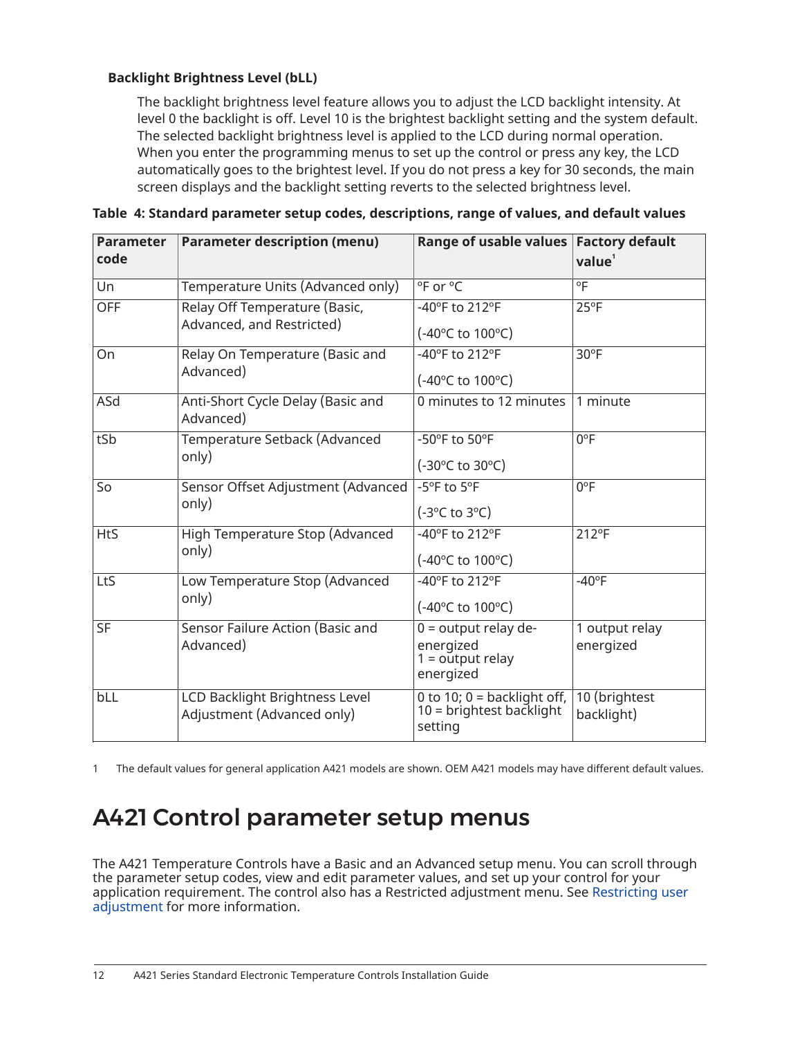#### **Backlight Brightness Level (bLL)**

The backlight brightness level feature allows you to adjust the LCD backlight intensity. At level 0 the backlight is off. Level 10 is the brightest backlight setting and the system default. The selected backlight brightness level is applied to the LCD during normal operation. When you enter the programming menus to set up the control or press any key, the LCD automatically goes to the brightest level. If you do not press a key for 30 seconds, the main screen displays and the backlight setting reverts to the selected brightness level.

| <b>Parameter</b><br>code | <b>Parameter description (menu)</b>                          | Range of usable values Factory default                                 | value <sup>1</sup>          |
|--------------------------|--------------------------------------------------------------|------------------------------------------------------------------------|-----------------------------|
| Un                       | Temperature Units (Advanced only)                            | °F or °C                                                               | $^{\circ}$ F                |
| <b>OFF</b>               | Relay Off Temperature (Basic,<br>Advanced, and Restricted)   | -40°F to 212°F<br>(-40°C to 100°C)                                     | $25^{\circ}F$               |
| On                       | Relay On Temperature (Basic and<br>Advanced)                 | -40°F to 212°F<br>(-40°C to 100°C)                                     | $30^{\circ}$ F              |
| ASd                      | Anti-Short Cycle Delay (Basic and<br>Advanced)               | 0 minutes to 12 minutes                                                | 1 minute                    |
| tSb                      | Temperature Setback (Advanced<br>only)                       | -50°F to 50°F<br>(-30°C to 30°C)                                       | $0^{\circ}$ F               |
| So                       | Sensor Offset Adjustment (Advanced<br>only)                  | -5°F to 5°F<br>$(-3$ <sup>o</sup> C to $3$ <sup>o</sup> C)             | $0^{\circ}$ F               |
| <b>HtS</b>               | High Temperature Stop (Advanced<br>only)                     | -40°F to 212°F<br>(-40°C to 100°C)                                     | 212°F                       |
| LtS                      | Low Temperature Stop (Advanced<br>only)                      | -40°F to 212°F<br>(-40°C to 100°C)                                     | $-40$ °F                    |
| <b>SF</b>                | Sensor Failure Action (Basic and<br>Advanced)                | $0 =$ output relay de-<br>energized<br>$1 =$ output relay<br>energized | 1 output relay<br>energized |
| bLL                      | LCD Backlight Brightness Level<br>Adjustment (Advanced only) | 0 to 10; $0 =$ backlight off,<br>$10 =$ brightest backlight<br>setting | 10 (brightest<br>backlight) |

<span id="page-11-2"></span>

|  |  |  | Table 4: Standard parameter setup codes, descriptions, range of values, and default values |
|--|--|--|--------------------------------------------------------------------------------------------|
|  |  |  |                                                                                            |

<span id="page-11-1"></span>1 The default values for general application A421 models are shown. OEM A421 models may have different default values.

# <span id="page-11-0"></span>A421 Control parameter setup menus

The A421 Temperature Controls have a Basic and an Advanced setup menu. You can scroll through the parameter setup codes, view and edit parameter values, and set up your control for your application requirement. The control also has a Restricted adjustment menu. See [Restricting user](#page-15-0) [adjustment](#page-15-0) for more information.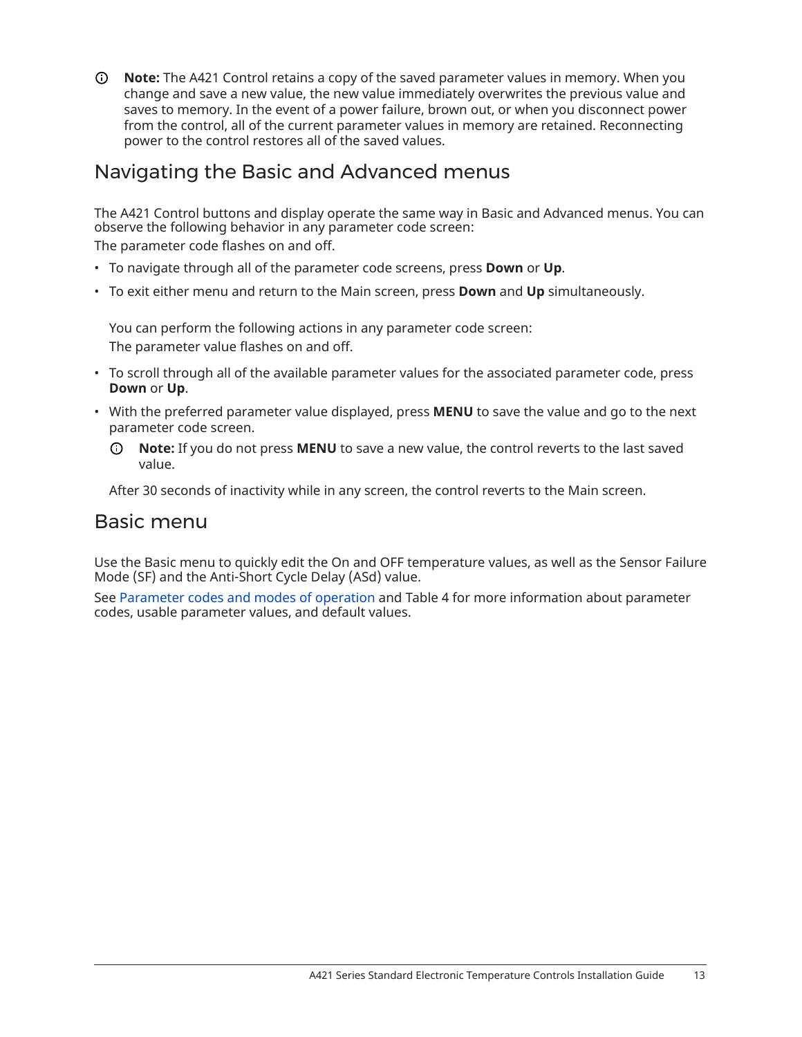**Note:** The A421 Control retains a copy of the saved parameter values in memory. When you change and save a new value, the new value immediately overwrites the previous value and saves to memory. In the event of a power failure, brown out, or when you disconnect power from the control, all of the current parameter values in memory are retained. Reconnecting power to the control restores all of the saved values.

### <span id="page-12-0"></span>Navigating the Basic and Advanced menus

The A421 Control buttons and display operate the same way in Basic and Advanced menus. You can observe the following behavior in any parameter code screen:

The parameter code flashes on and off.

- To navigate through all of the parameter code screens, press **Down** or **Up**.
- To exit either menu and return to the Main screen, press **Down** and **Up** simultaneously.

You can perform the following actions in any parameter code screen: The parameter value flashes on and off.

- To scroll through all of the available parameter values for the associated parameter code, press **Down** or **Up**.
- With the preferred parameter value displayed, press **MENU** to save the value and go to the next parameter code screen.
	- $\odot$ **Note:** If you do not press **MENU** to save a new value, the control reverts to the last saved value.

After 30 seconds of inactivity while in any screen, the control reverts to the Main screen.

### Basic menu

Use the Basic menu to quickly edit the On and OFF temperature values, as well as the Sensor Failure Mode (SF) and the Anti-Short Cycle Delay (ASd) value.

See [Parameter](#page-8-1) codes and modes of operation and [Table](#page-11-2) 4 for more information about parameter codes, usable parameter values, and default values.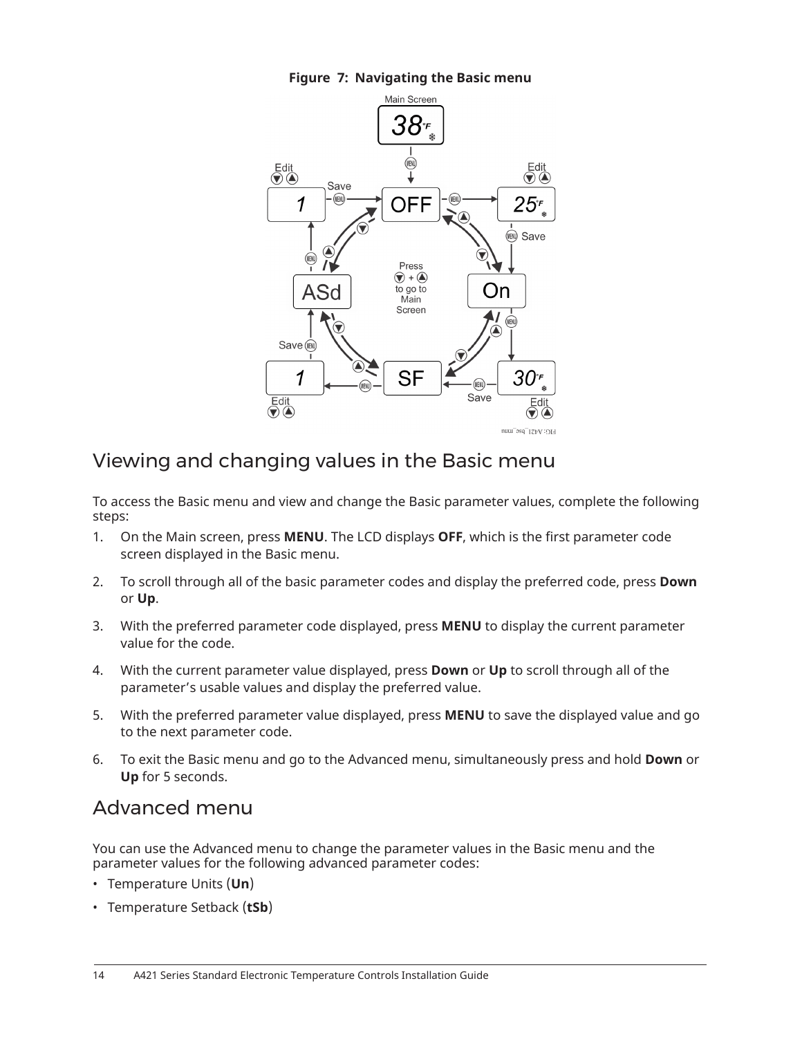



### Viewing and changing values in the Basic menu

To access the Basic menu and view and change the Basic parameter values, complete the following steps:

- 1. On the Main screen, press **MENU**. The LCD displays **OFF**, which is the first parameter code screen displayed in the Basic menu.
- 2. To scroll through all of the basic parameter codes and display the preferred code, press **Down** or **Up**.
- 3. With the preferred parameter code displayed, press **MENU** to display the current parameter value for the code.
- 4. With the current parameter value displayed, press **Down** or **Up** to scroll through all of the parameter's usable values and display the preferred value.
- 5. With the preferred parameter value displayed, press **MENU** to save the displayed value and go to the next parameter code.
- 6. To exit the Basic menu and go to the Advanced menu, simultaneously press and hold **Down** or **Up** for 5 seconds.

## Advanced menu

You can use the Advanced menu to change the parameter values in the Basic menu and the parameter values for the following advanced parameter codes:

- Temperature Units (**Un**)
- Temperature Setback (**tSb**)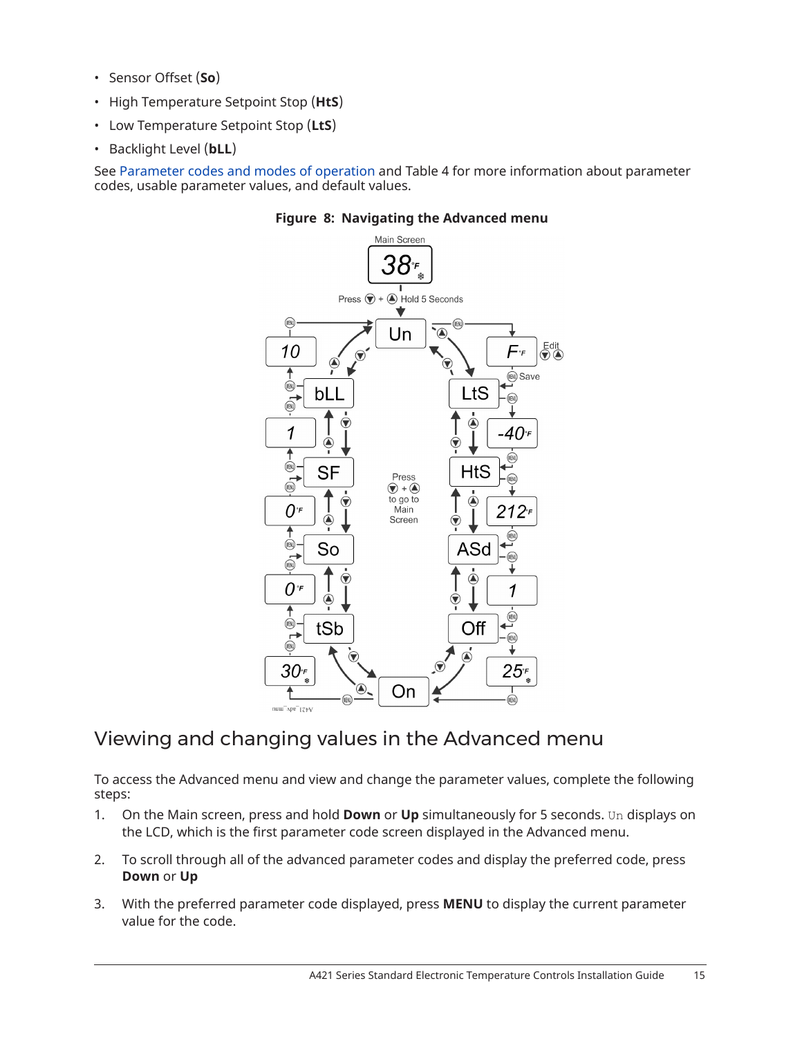- Sensor Offset (**So**)
- High Temperature Setpoint Stop (**HtS**)
- Low Temperature Setpoint Stop (**LtS**)
- Backlight Level (**bLL**)

See [Parameter](#page-8-1) codes and modes of operation and [Table](#page-11-2) 4 for more information about parameter codes, usable parameter values, and default values.



#### **Figure 8: Navigating the Advanced menu**

### Viewing and changing values in the Advanced menu

To access the Advanced menu and view and change the parameter values, complete the following steps:

- 1. On the Main screen, press and hold **Down** or **Up** simultaneously for 5 seconds. Un displays on the LCD, which is the first parameter code screen displayed in the Advanced menu.
- 2. To scroll through all of the advanced parameter codes and display the preferred code, press **Down** or **Up**
- 3. With the preferred parameter code displayed, press **MENU** to display the current parameter value for the code.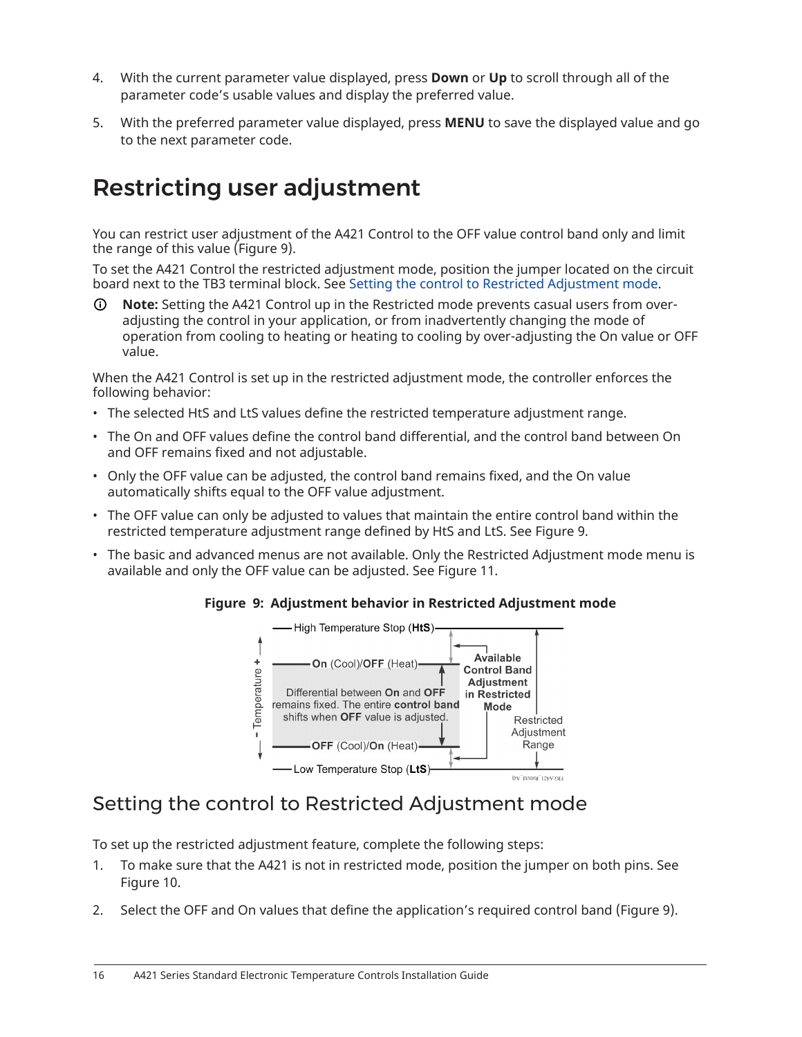- 4. With the current parameter value displayed, press **Down** or **Up** to scroll through all of the parameter code's usable values and display the preferred value.
- 5. With the preferred parameter value displayed, press **MENU** to save the displayed value and go to the next parameter code.

# <span id="page-15-0"></span>Restricting user adjustment

You can restrict user adjustment of the A421 Control to the OFF value control band only and limit the range of this value [\(Figure](#page-15-1) 9).

To set the A421 Control the restricted adjustment mode, position the jumper located on the circuit board next to the TB3 terminal block. See Setting the control to Restricted [Adjustment](#page-15-2) mode.

⊙ **Note:** Setting the A421 Control up in the Restricted mode prevents casual users from overadjusting the control in your application, or from inadvertently changing the mode of operation from cooling to heating or heating to cooling by over-adjusting the On value or OFF value.

When the A421 Control is set up in the restricted adjustment mode, the controller enforces the following behavior:

- The selected HtS and LtS values define the restricted temperature adjustment range.
- The On and OFF values define the control band differential, and the control band between On and OFF remains fixed and not adjustable.
- Only the OFF value can be adjusted, the control band remains fixed, and the On value automatically shifts equal to the OFF value adjustment.
- The OFF value can only be adjusted to values that maintain the entire control band within the restricted temperature adjustment range defined by HtS and LtS. See [Figure](#page-15-1) 9.
- The basic and advanced menus are not available. Only the Restricted Adjustment mode menu is available and only the OFF value can be adjusted. See [Figure](#page-17-1) 11.



<span id="page-15-1"></span>

### <span id="page-15-2"></span>Setting the control to Restricted Adjustment mode

To set up the restricted adjustment feature, complete the following steps:

- 1. To make sure that the A421 is not in restricted mode, position the jumper on both pins. See [Figure](#page-16-0) 10.
- 2. Select the OFF and On values that define the application's required control band ([Figure](#page-15-1) 9).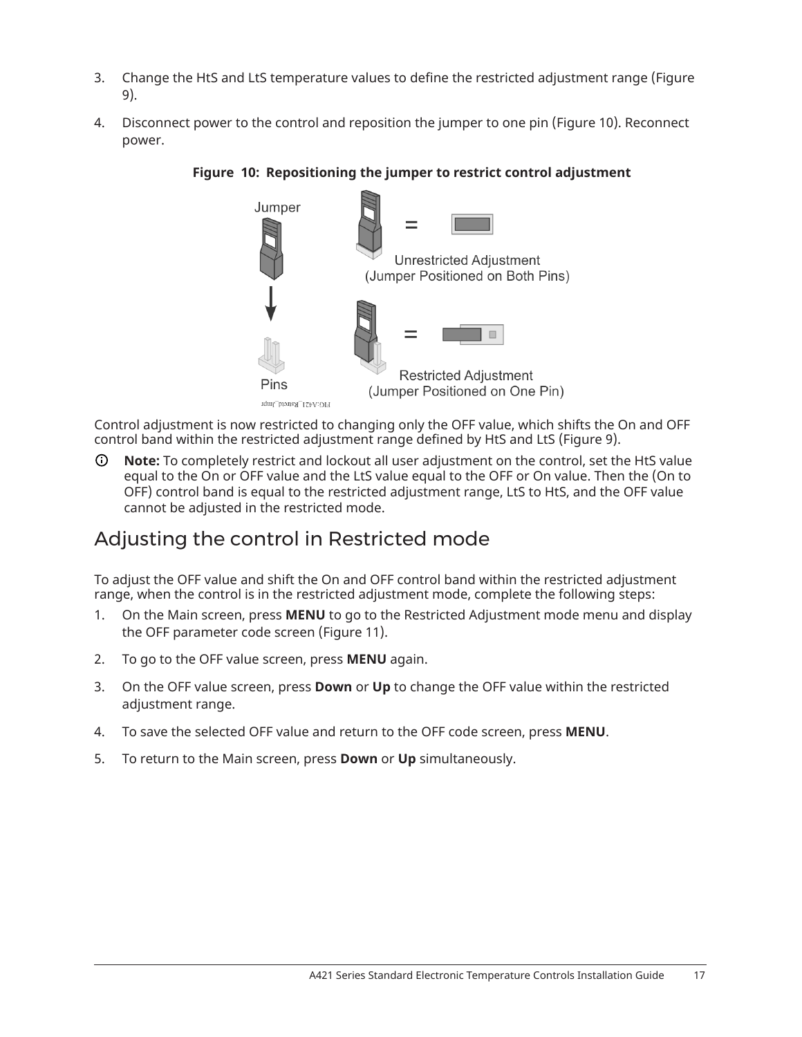- 3. Change the HtS and LtS temperature values to define the restricted adjustment range ([Figure](#page-15-1) [9\)](#page-15-1).
- 4. Disconnect power to the control and reposition the jumper to one pin [\(Figure](#page-16-0) 10). Reconnect power.

<span id="page-16-0"></span>

#### **Figure 10: Repositioning the jumper to restrict control adjustment**

Control adjustment is now restricted to changing only the OFF value, which shifts the On and OFF control band within the restricted adjustment range defined by HtS and LtS [\(Figure](#page-15-1) 9).

∩ **Note:** To completely restrict and lockout all user adjustment on the control, set the HtS value equal to the On or OFF value and the LtS value equal to the OFF or On value. Then the (On to OFF) control band is equal to the restricted adjustment range, LtS to HtS, and the OFF value cannot be adjusted in the restricted mode.

### Adjusting the control in Restricted mode

To adjust the OFF value and shift the On and OFF control band within the restricted adjustment range, when the control is in the restricted adjustment mode, complete the following steps:

- 1. On the Main screen, press **MENU** to go to the Restricted Adjustment mode menu and display the OFF parameter code screen ([Figure](#page-17-1) 11).
- 2. To go to the OFF value screen, press **MENU** again.
- 3. On the OFF value screen, press **Down** or **Up** to change the OFF value within the restricted adjustment range.
- 4. To save the selected OFF value and return to the OFF code screen, press **MENU**.
- 5. To return to the Main screen, press **Down** or **Up** simultaneously.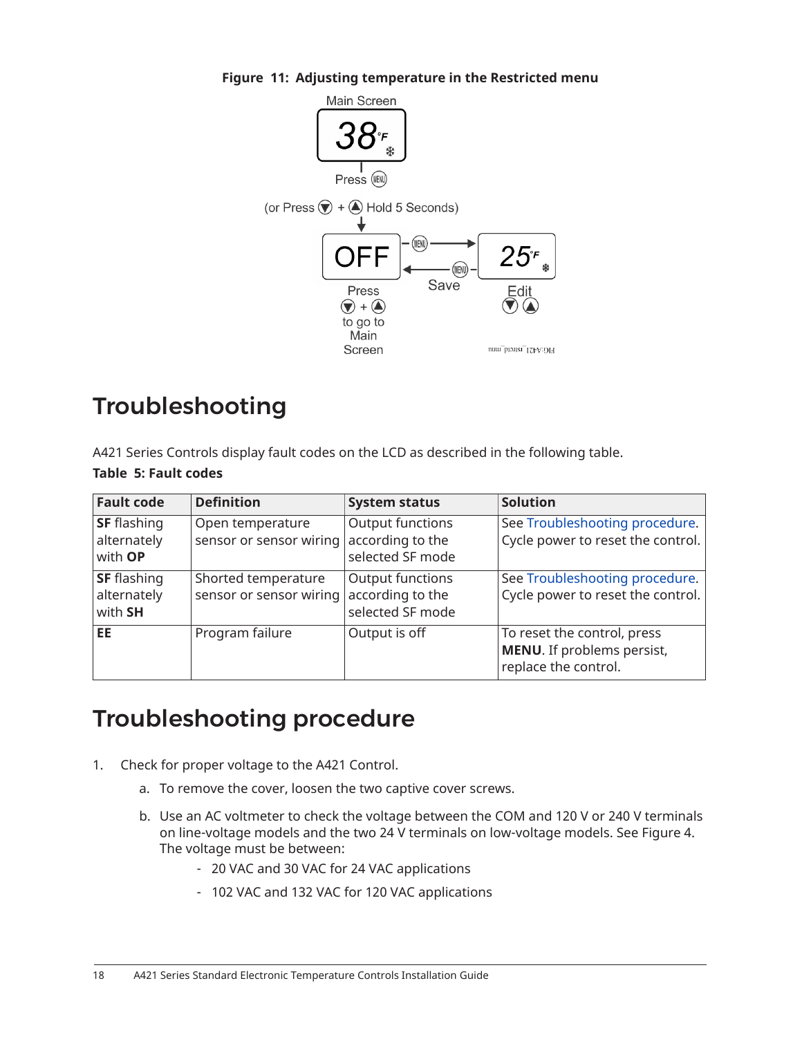<span id="page-17-1"></span>

#### **Figure 11: Adjusting temperature in the Restricted menu**

## <span id="page-17-0"></span>Troubleshooting

A421 Series Controls display fault codes on the LCD as described in the following table. **Table 5: Fault codes**

| <b>Fault code</b>                            | <b>Definition</b>                              | <b>System status</b>                                     | <b>Solution</b>                                                                   |
|----------------------------------------------|------------------------------------------------|----------------------------------------------------------|-----------------------------------------------------------------------------------|
| <b>SF</b> flashing<br>alternately<br>with OP | Open temperature<br>sensor or sensor wiring    | Output functions<br>according to the<br>selected SF mode | See Troubleshooting procedure.<br>Cycle power to reset the control.               |
| <b>SF</b> flashing<br>alternately<br>with SH | Shorted temperature<br>sensor or sensor wiring | Output functions<br>according to the<br>selected SF mode | See Troubleshooting procedure.<br>Cycle power to reset the control.               |
| <b>EE</b>                                    | Program failure                                | Output is off                                            | To reset the control, press<br>MENU. If problems persist,<br>replace the control. |

## <span id="page-17-2"></span>Troubleshooting procedure

- 1. Check for proper voltage to the A421 Control.
	- a. To remove the cover, loosen the two captive cover screws.
	- b. Use an AC voltmeter to check the voltage between the COM and 120 V or 240 V terminals on line-voltage models and the two 24 V terminals on low-voltage models. See [Figure](#page-6-1) 4. The voltage must be between:
		- 20 VAC and 30 VAC for 24 VAC applications
		- 102 VAC and 132 VAC for 120 VAC applications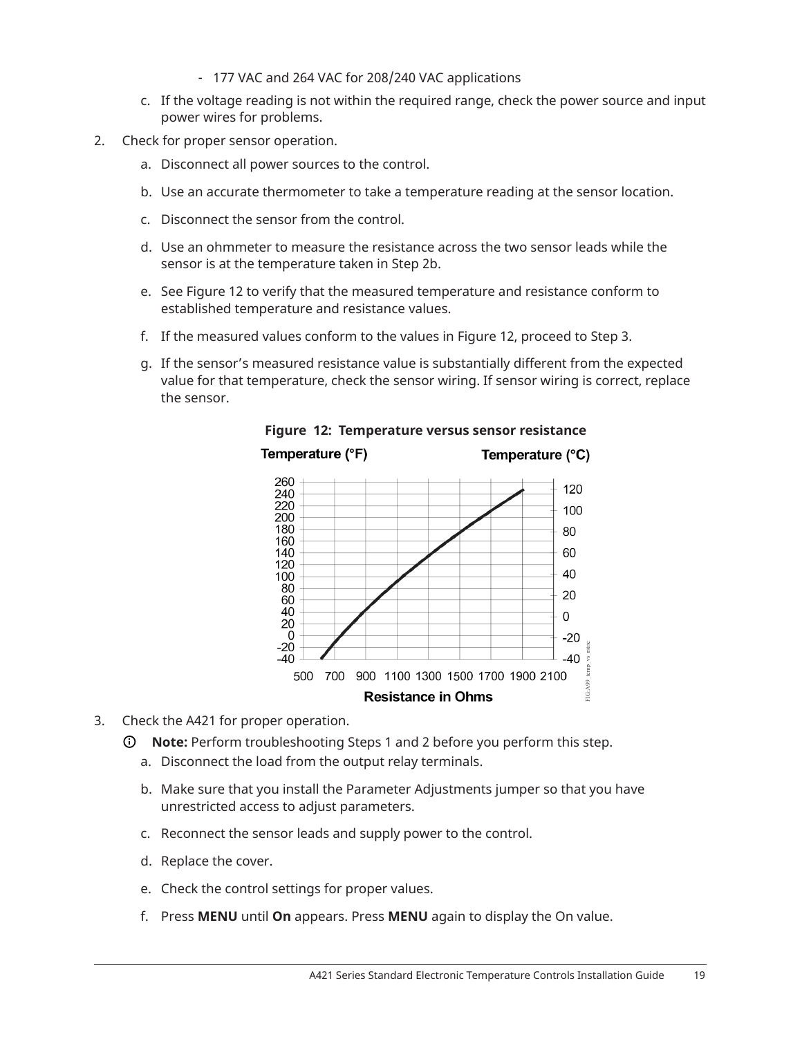- 177 VAC and 264 VAC for 208/240 VAC applications
- c. If the voltage reading is not within the required range, check the power source and input power wires for problems.
- 2. Check for proper sensor operation.
	- a. Disconnect all power sources to the control.
	- b. Use an accurate thermometer to take a temperature reading at the sensor location.
	- c. Disconnect the sensor from the control.
	- d. Use an ohmmeter to measure the resistance across the two sensor leads while the sensor is at the temperature taken in Step 2b.
	- e. See [Figure](#page-18-0) 12 to verify that the measured temperature and resistance conform to established temperature and resistance values.
	- f. If the measured values conform to the values in [Figure](#page-18-0) 12, proceed to Step 3.
	- g. If the sensor's measured resistance value is substantially different from the expected value for that temperature, check the sensor wiring. If sensor wiring is correct, replace the sensor.



<span id="page-18-0"></span>**Figure 12: Temperature versus sensor resistance**

- 3. Check the A421 for proper operation.
	- **Note:** Perform troubleshooting Steps 1 and 2 before you perform this step.
		- a. Disconnect the load from the output relay terminals.
		- b. Make sure that you install the Parameter Adjustments jumper so that you have unrestricted access to adjust parameters.
		- c. Reconnect the sensor leads and supply power to the control.
		- d. Replace the cover.
		- e. Check the control settings for proper values.
		- f. Press **MENU** until **On** appears. Press **MENU** again to display the On value.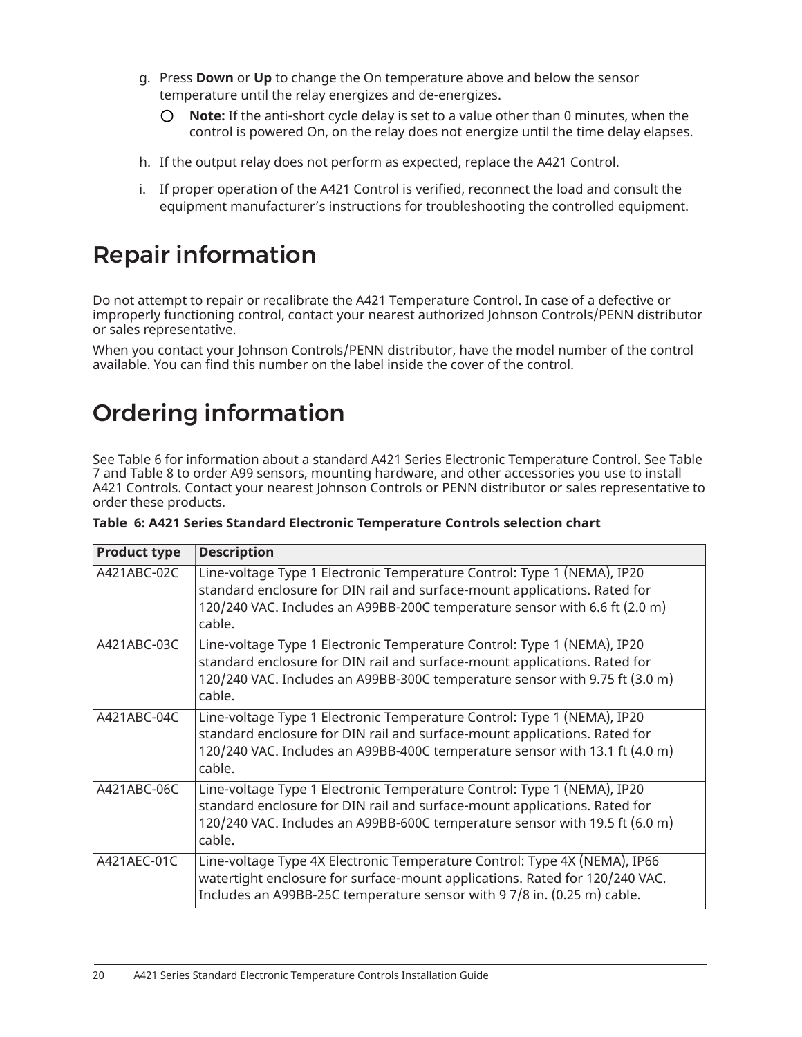- g. Press **Down** or **Up** to change the On temperature above and below the sensor temperature until the relay energizes and de-energizes.
	- **Note:** If the anti-short cycle delay is set to a value other than 0 minutes, when the control is powered On, on the relay does not energize until the time delay elapses.
- h. If the output relay does not perform as expected, replace the A421 Control.
- i. If proper operation of the A421 Control is verified, reconnect the load and consult the equipment manufacturer's instructions for troubleshooting the controlled equipment.

# Repair information

Do not attempt to repair or recalibrate the A421 Temperature Control. In case of a defective or improperly functioning control, contact your nearest authorized Johnson Controls/PENN distributor or sales representative.

When you contact your Johnson Controls/PENN distributor, have the model number of the control available. You can find this number on the label inside the cover of the control.

# <span id="page-19-0"></span>Ordering information

See [Table](#page-19-1) 6 for information about a standard A421 Series Electronic Temperature Control. See [Table](#page-20-0) [7](#page-20-0) and [Table](#page-21-1) 8 to order A99 sensors, mounting hardware, and other accessories you use to install A421 Controls. Contact your nearest Johnson Controls or PENN distributor or sales representative to order these products.

| <b>Product type</b> | <b>Description</b>                                                                                                                                                                                                                            |
|---------------------|-----------------------------------------------------------------------------------------------------------------------------------------------------------------------------------------------------------------------------------------------|
| A421ABC-02C         | Line-voltage Type 1 Electronic Temperature Control: Type 1 (NEMA), IP20<br>standard enclosure for DIN rail and surface-mount applications. Rated for<br>120/240 VAC. Includes an A99BB-200C temperature sensor with 6.6 ft (2.0 m)<br>cable.  |
| A421ABC-03C         | Line-voltage Type 1 Electronic Temperature Control: Type 1 (NEMA), IP20<br>standard enclosure for DIN rail and surface-mount applications. Rated for<br>120/240 VAC. Includes an A99BB-300C temperature sensor with 9.75 ft (3.0 m)<br>cable. |
| A421ABC-04C         | Line-voltage Type 1 Electronic Temperature Control: Type 1 (NEMA), IP20<br>standard enclosure for DIN rail and surface-mount applications. Rated for<br>120/240 VAC. Includes an A99BB-400C temperature sensor with 13.1 ft (4.0 m)<br>cable. |
| A421ABC-06C         | Line-voltage Type 1 Electronic Temperature Control: Type 1 (NEMA), IP20<br>standard enclosure for DIN rail and surface-mount applications. Rated for<br>120/240 VAC. Includes an A99BB-600C temperature sensor with 19.5 ft (6.0 m)<br>cable. |
| A421AEC-01C         | Line-voltage Type 4X Electronic Temperature Control: Type 4X (NEMA), IP66<br>watertight enclosure for surface-mount applications. Rated for 120/240 VAC.<br>Includes an A99BB-25C temperature sensor with 9 7/8 in. (0.25 m) cable.           |

<span id="page-19-1"></span>

|  |  |  |  |  | Table  6: A421 Series Standard Electronic Temperature Controls selection chart |  |  |  |
|--|--|--|--|--|--------------------------------------------------------------------------------|--|--|--|
|--|--|--|--|--|--------------------------------------------------------------------------------|--|--|--|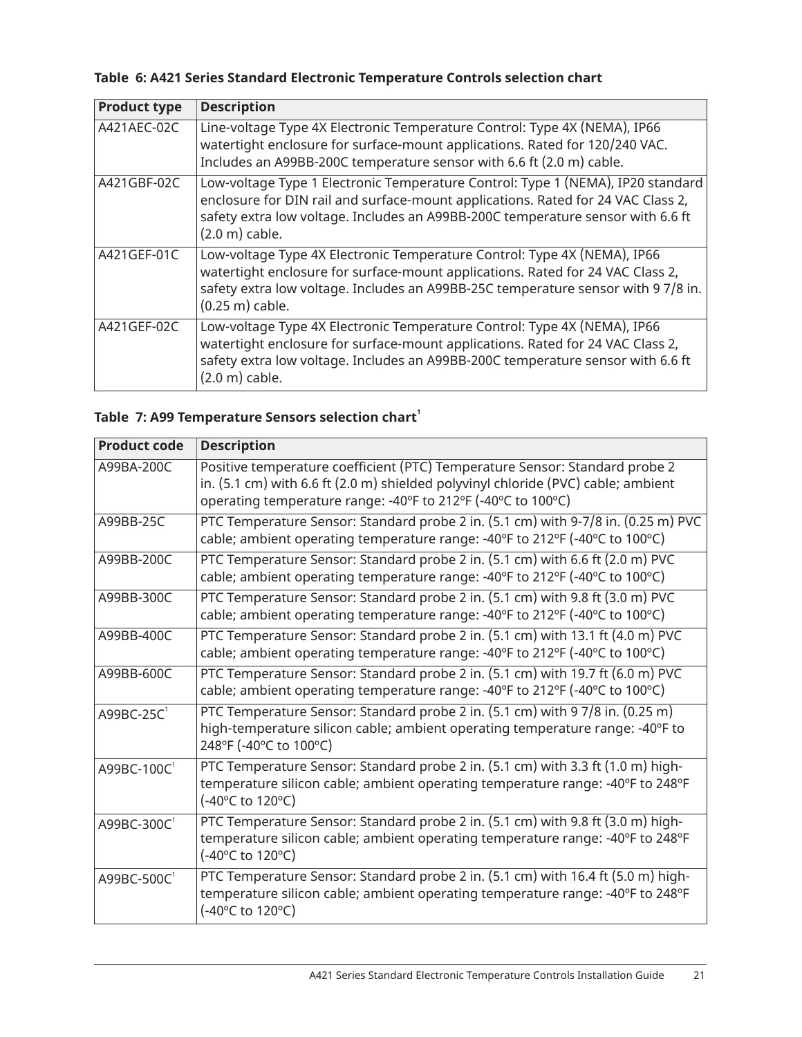#### **Table 6: A421 Series Standard Electronic Temperature Controls selection chart**

| <b>Product type</b> | <b>Description</b>                                                                                                                                                                                                                                                                 |
|---------------------|------------------------------------------------------------------------------------------------------------------------------------------------------------------------------------------------------------------------------------------------------------------------------------|
| A421AEC-02C         | Line-voltage Type 4X Electronic Temperature Control: Type 4X (NEMA), IP66<br>watertight enclosure for surface-mount applications. Rated for 120/240 VAC.<br>Includes an A99BB-200C temperature sensor with 6.6 ft (2.0 m) cable.                                                   |
| A421GBF-02C         | Low-voltage Type 1 Electronic Temperature Control: Type 1 (NEMA), IP20 standard<br>enclosure for DIN rail and surface-mount applications. Rated for 24 VAC Class 2,<br>safety extra low voltage. Includes an A99BB-200C temperature sensor with 6.6 ft<br>$(2.0 \text{ m})$ cable. |
| A421GEF-01C         | Low-voltage Type 4X Electronic Temperature Control: Type 4X (NEMA), IP66<br>watertight enclosure for surface-mount applications. Rated for 24 VAC Class 2,<br>safety extra low voltage. Includes an A99BB-25C temperature sensor with 9 7/8 in.<br>$(0.25 \text{ m})$ cable.       |
| A421GEF-02C         | Low-voltage Type 4X Electronic Temperature Control: Type 4X (NEMA), IP66<br>watertight enclosure for surface-mount applications. Rated for 24 VAC Class 2,<br>safety extra low voltage. Includes an A99BB-200C temperature sensor with 6.6 ft<br>$(2.0 \text{ m})$ cable.          |

#### <span id="page-20-0"></span>**Table 7: A99 Temperature Sensors selection chart [1](#page-21-2)**

| <b>Product code</b>    | <b>Description</b>                                                                                                                                                                                                               |
|------------------------|----------------------------------------------------------------------------------------------------------------------------------------------------------------------------------------------------------------------------------|
| A99BA-200C             | Positive temperature coefficient (PTC) Temperature Sensor: Standard probe 2<br>in. (5.1 cm) with 6.6 ft (2.0 m) shielded polyvinyl chloride (PVC) cable; ambient<br>operating temperature range: -40°F to 212°F (-40°C to 100°C) |
| A99BB-25C              | PTC Temperature Sensor: Standard probe 2 in. (5.1 cm) with 9-7/8 in. (0.25 m) PVC<br>cable; ambient operating temperature range: -40°F to 212°F (-40°C to 100°C)                                                                 |
| A99BB-200C             | PTC Temperature Sensor: Standard probe 2 in. (5.1 cm) with 6.6 ft (2.0 m) PVC<br>cable; ambient operating temperature range: -40°F to 212°F (-40°C to 100°C)                                                                     |
| A99BB-300C             | PTC Temperature Sensor: Standard probe 2 in. (5.1 cm) with 9.8 ft (3.0 m) PVC<br>cable; ambient operating temperature range: -40°F to 212°F (-40°C to 100°C)                                                                     |
| A99BB-400C             | PTC Temperature Sensor: Standard probe 2 in. (5.1 cm) with 13.1 ft (4.0 m) PVC<br>cable; ambient operating temperature range: -40°F to 212°F (-40°C to 100°C)                                                                    |
| A99BB-600C             | PTC Temperature Sensor: Standard probe 2 in. (5.1 cm) with 19.7 ft (6.0 m) PVC<br>cable; ambient operating temperature range: -40°F to 212°F (-40°C to 100°C)                                                                    |
| A99BC-25C <sup>1</sup> | PTC Temperature Sensor: Standard probe 2 in. (5.1 cm) with 9 7/8 in. (0.25 m)<br>high-temperature silicon cable; ambient operating temperature range: -40°F to<br>248°F (-40°C to 100°C)                                         |
| A99BC-100C1            | PTC Temperature Sensor: Standard probe 2 in. (5.1 cm) with 3.3 ft (1.0 m) high-<br>temperature silicon cable; ambient operating temperature range: -40°F to 248°F<br>(-40°C to 120°C)                                            |
| A99BC-300C             | PTC Temperature Sensor: Standard probe 2 in. (5.1 cm) with 9.8 ft (3.0 m) high-<br>temperature silicon cable; ambient operating temperature range: -40°F to 248°F<br>(-40°C to 120°C)                                            |
| A99BC-500C1            | PTC Temperature Sensor: Standard probe 2 in. (5.1 cm) with 16.4 ft (5.0 m) high-<br>temperature silicon cable; ambient operating temperature range: -40°F to 248°F<br>(-40°C to 120°C)                                           |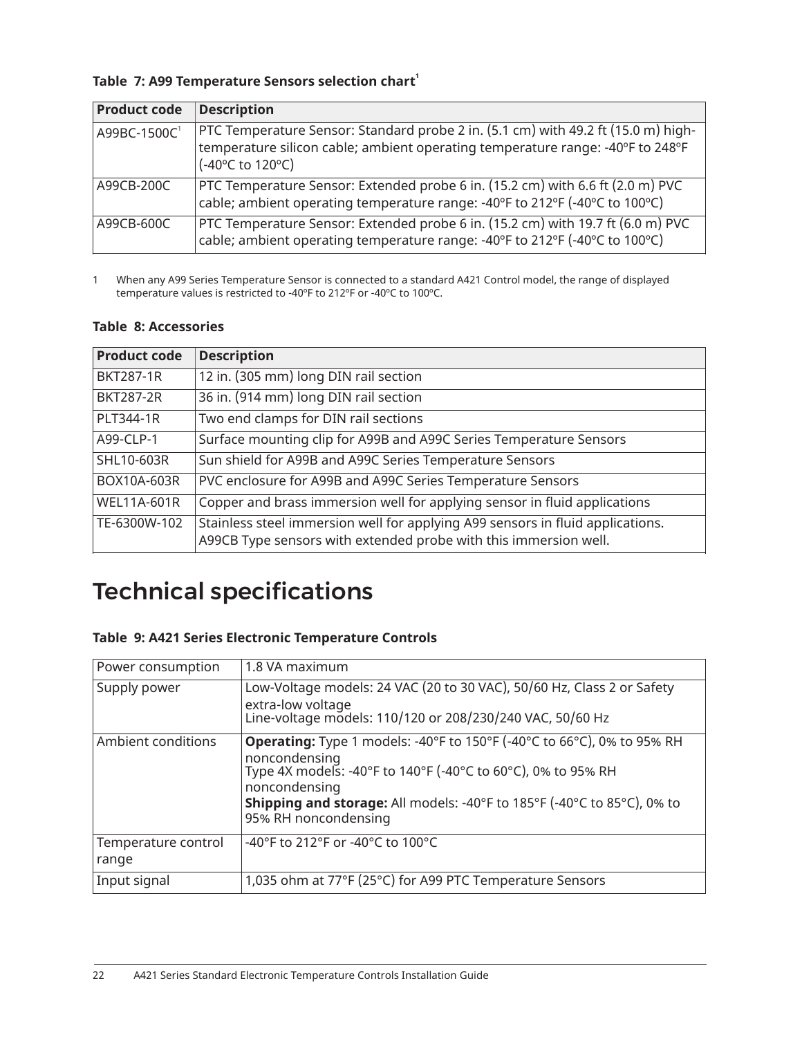#### **Table 7: A99 Temperature Sensors selection chart [1](#page-21-2)**

| <b>Product code</b> | <b>Description</b>                                                                                                                                                                      |
|---------------------|-----------------------------------------------------------------------------------------------------------------------------------------------------------------------------------------|
| A99BC-1500C1        | PTC Temperature Sensor: Standard probe 2 in. (5.1 cm) with 49.2 ft (15.0 m) high-<br>temperature silicon cable; ambient operating temperature range: -40°F to 248°F<br>(-40°C to 120°C) |
| A99CB-200C          | PTC Temperature Sensor: Extended probe 6 in. (15.2 cm) with 6.6 ft (2.0 m) PVC<br>cable; ambient operating temperature range: -40°F to 212°F (-40°C to 100°C)                           |
| A99CB-600C          | PTC Temperature Sensor: Extended probe 6 in. (15.2 cm) with 19.7 ft (6.0 m) PVC<br>cable; ambient operating temperature range: -40°F to 212°F (-40°C to 100°C)                          |

<span id="page-21-2"></span>1 When any A99 Series Temperature Sensor is connected to a standard A421 Control model, the range of displayed temperature values is restricted to -40ºF to 212ºF or -40ºC to 100ºC.

#### <span id="page-21-1"></span>**Table 8: Accessories**

| <b>Product code</b> | <b>Description</b>                                                                                                                                 |
|---------------------|----------------------------------------------------------------------------------------------------------------------------------------------------|
| <b>BKT287-1R</b>    | 12 in. (305 mm) long DIN rail section                                                                                                              |
| <b>BKT287-2R</b>    | 36 in. (914 mm) long DIN rail section                                                                                                              |
| PLT344-1R           | Two end clamps for DIN rail sections                                                                                                               |
| A99-CLP-1           | Surface mounting clip for A99B and A99C Series Temperature Sensors                                                                                 |
| SHL10-603R          | Sun shield for A99B and A99C Series Temperature Sensors                                                                                            |
| BOX10A-603R         | PVC enclosure for A99B and A99C Series Temperature Sensors                                                                                         |
| <b>WEL11A-601R</b>  | Copper and brass immersion well for applying sensor in fluid applications                                                                          |
| TE-6300W-102        | Stainless steel immersion well for applying A99 sensors in fluid applications.<br>A99CB Type sensors with extended probe with this immersion well. |

# <span id="page-21-0"></span>Technical specifications

#### **Table 9: A421 Series Electronic Temperature Controls**

| Power consumption   | 1.8 VA maximum                                                                 |
|---------------------|--------------------------------------------------------------------------------|
| Supply power        | Low-Voltage models: 24 VAC (20 to 30 VAC), 50/60 Hz, Class 2 or Safety         |
|                     | extra-low voltage<br>Line-voltage models: 110/120 or 208/230/240 VAC, 50/60 Hz |
| Ambient conditions  | <b>Operating:</b> Type 1 models: -40°F to 150°F (-40°C to 66°C), 0% to 95% RH  |
|                     | noncondensing<br>Type 4X models: -40°F to 140°F (-40°C to 60°C), 0% to 95% RH  |
|                     | noncondensing                                                                  |
|                     | <b>Shipping and storage:</b> All models: -40°F to 185°F (-40°C to 85°C), 0% to |
|                     | 95% RH noncondensing                                                           |
| Temperature control | -40°F to 212°F or -40°C to 100°C                                               |
| range               |                                                                                |
| Input signal        | 1,035 ohm at 77°F (25°C) for A99 PTC Temperature Sensors                       |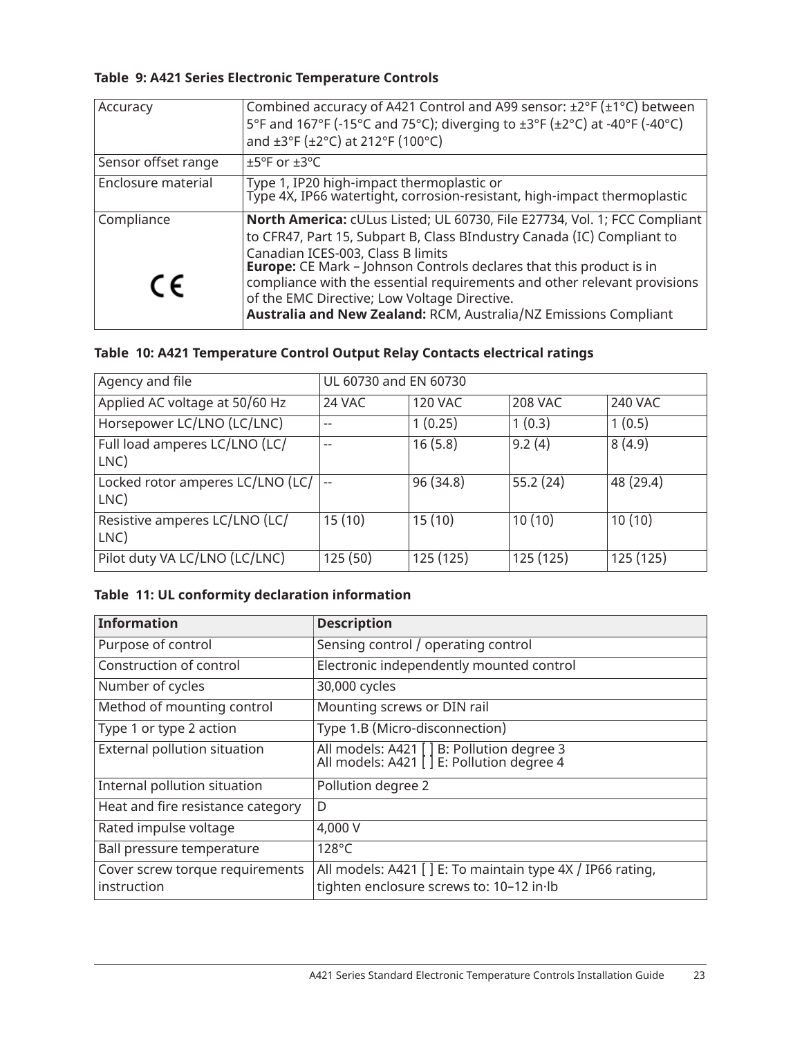#### **Table 9: A421 Series Electronic Temperature Controls**

| Accuracy            | Combined accuracy of A421 Control and A99 sensor: ±2°F (±1°C) between<br>5°F and 167°F (-15°C and 75°C); diverging to ±3°F (±2°C) at -40°F (-40°C)<br>and ±3°F (±2°C) at 212°F (100°C)                                                                                                                                                                                                                                                                                 |
|---------------------|------------------------------------------------------------------------------------------------------------------------------------------------------------------------------------------------------------------------------------------------------------------------------------------------------------------------------------------------------------------------------------------------------------------------------------------------------------------------|
| Sensor offset range | $±5^{\circ}$ F or $±3^{\circ}$ C                                                                                                                                                                                                                                                                                                                                                                                                                                       |
| Enclosure material  | Type 1, IP20 high-impact thermoplastic or<br>Type 4X, IP66 watertight, corrosion-resistant, high-impact thermoplastic                                                                                                                                                                                                                                                                                                                                                  |
| Compliance<br>CE    | North America: cULus Listed; UL 60730, File E27734, Vol. 1; FCC Compliant<br>to CFR47, Part 15, Subpart B, Class BIndustry Canada (IC) Compliant to<br>Canadian ICES-003, Class B limits<br><b>Europe:</b> CE Mark - Johnson Controls declares that this product is in<br>compliance with the essential requirements and other relevant provisions<br>of the EMC Directive; Low Voltage Directive.<br>Australia and New Zealand: RCM, Australia/NZ Emissions Compliant |

#### **Table 10: A421 Temperature Control Output Relay Contacts electrical ratings**

| Agency and file                          | UL 60730 and EN 60730    |                |           |           |
|------------------------------------------|--------------------------|----------------|-----------|-----------|
| Applied AC voltage at 50/60 Hz           | 24 VAC                   | <b>120 VAC</b> | 208 VAC   | 240 VAC   |
| Horsepower LC/LNO (LC/LNC)               | $-$                      | 1(0.25)        | 1(0.3)    | 1(0.5)    |
| Full load amperes LC/LNO (LC/<br>LNC)    | $-$                      | 16(5.8)        | 9.2(4)    | 8(4.9)    |
| Locked rotor amperes LC/LNO (LC/<br>LNC) | $\overline{\phantom{m}}$ | 96 (34.8)      | 55.2(24)  | 48 (29.4) |
| Resistive amperes LC/LNO (LC/<br>LNC)    | 15(10)                   | 15(10)         | 10(10)    | 10(10)    |
| Pilot duty VA LC/LNO (LC/LNC)            | 125 (50)                 | 125 (125)      | 125 (125) | 125 (125) |

#### **Table 11: UL conformity declaration information**

| <b>Information</b>                             | <b>Description</b>                                                                                     |
|------------------------------------------------|--------------------------------------------------------------------------------------------------------|
| Purpose of control                             | Sensing control / operating control                                                                    |
| Construction of control                        | Electronic independently mounted control                                                               |
| Number of cycles                               | 30,000 cycles                                                                                          |
| Method of mounting control                     | Mounting screws or DIN rail                                                                            |
| Type 1 or type 2 action                        | Type 1.B (Micro-disconnection)                                                                         |
| External pollution situation                   | All models: A421 [ ] B: Pollution degree 3<br>All models: A421 [ ] E: Pollution degree 4               |
| Internal pollution situation                   | Pollution degree 2                                                                                     |
| Heat and fire resistance category              | D                                                                                                      |
| Rated impulse voltage                          | 4,000 V                                                                                                |
| Ball pressure temperature                      | 128°C                                                                                                  |
| Cover screw torque requirements<br>instruction | All models: A421 [ ] E: To maintain type 4X / IP66 rating,<br>tighten enclosure screws to: 10-12 in lb |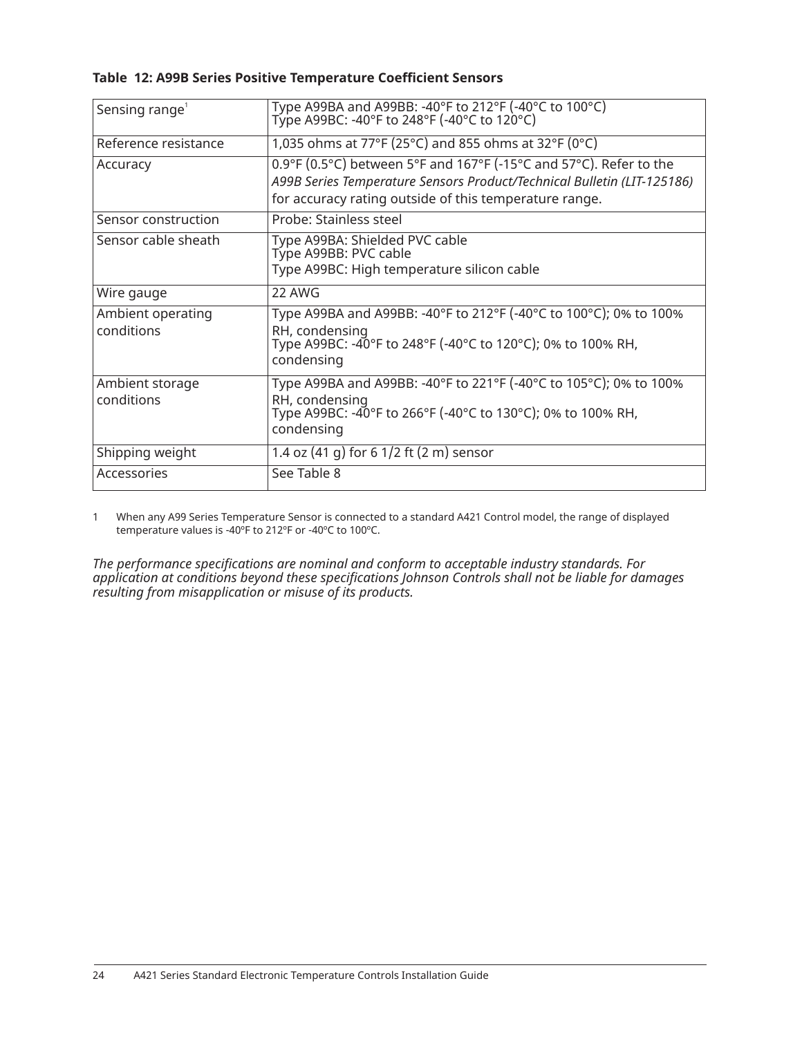#### **Table 12: A99B Series Positive Temperature Coefficient Sensors**

| Sensing range <sup>1</sup>      | Type A99BA and A99BB: -40°F to 212°F (-40°C to 100°C)<br>Type A99BC: -40°F to 248°F (-40°C to 120°C)                                                                                                    |
|---------------------------------|---------------------------------------------------------------------------------------------------------------------------------------------------------------------------------------------------------|
| Reference resistance            | 1,035 ohms at 77°F (25°C) and 855 ohms at 32°F (0°C)                                                                                                                                                    |
| Accuracy                        | 0.9°F (0.5°C) between 5°F and 167°F (-15°C and 57°C). Refer to the<br>A99B Series Temperature Sensors Product/Technical Bulletin (LIT-125186)<br>for accuracy rating outside of this temperature range. |
| Sensor construction             | Probe: Stainless steel                                                                                                                                                                                  |
| Sensor cable sheath             | Type A99BA: Shielded PVC cable<br>Type A99BB: PVC cable<br>Type A99BC: High temperature silicon cable                                                                                                   |
| Wire gauge                      | 22 AWG                                                                                                                                                                                                  |
| Ambient operating<br>conditions | Type A99BA and A99BB: -40°F to 212°F (-40°C to 100°C); 0% to 100%<br>RH, condensing<br>Type A99BC: -40°F to 248°F (-40°C to 120°C); 0% to 100% RH,<br>condensing                                        |
| Ambient storage<br>conditions   | Type A99BA and A99BB: -40°F to 221°F (-40°C to 105°C); 0% to 100%<br>RH, condensing<br>Type A99BC: -40°F to 266°F (-40°C to 130°C); 0% to 100% RH,<br>condensing                                        |
| Shipping weight                 | 1.4 oz $(41 g)$ for 6 1/2 ft $(2 m)$ sensor                                                                                                                                                             |
| Accessories                     | See Table 8                                                                                                                                                                                             |

<span id="page-23-0"></span>1 When any A99 Series Temperature Sensor is connected to a standard A421 Control model, the range of displayed temperature values is -40ºF to 212ºF or -40ºC to 100ºC.

*The performance specifications are nominal and conform to acceptable industry standards. For application at conditions beyond these specifications Johnson Controls shall not be liable for damages resulting from misapplication or misuse of its products.*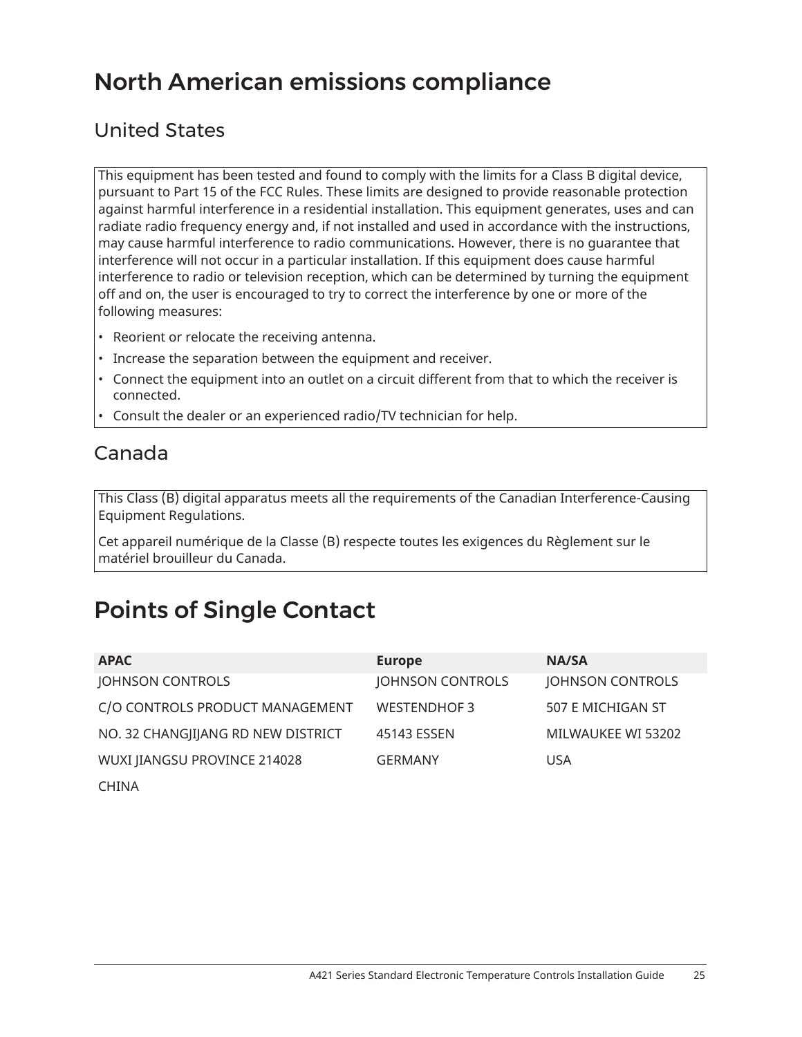# North American emissions compliance

## United States

This equipment has been tested and found to comply with the limits for a Class B digital device, pursuant to Part 15 of the FCC Rules. These limits are designed to provide reasonable protection against harmful interference in a residential installation. This equipment generates, uses and can radiate radio frequency energy and, if not installed and used in accordance with the instructions, may cause harmful interference to radio communications. However, there is no guarantee that interference will not occur in a particular installation. If this equipment does cause harmful interference to radio or television reception, which can be determined by turning the equipment off and on, the user is encouraged to try to correct the interference by one or more of the following measures:

- Reorient or relocate the receiving antenna.
- Increase the separation between the equipment and receiver.
- Connect the equipment into an outlet on a circuit different from that to which the receiver is connected.
- Consult the dealer or an experienced radio/TV technician for help.

### Canada

This Class (B) digital apparatus meets all the requirements of the Canadian Interference-Causing Equipment Regulations.

Cet appareil numérique de la Classe (B) respecte toutes les exigences du Règlement sur le matériel brouilleur du Canada.

# Points of Single Contact

| <b>APAC</b>                        | <b>Europe</b>           | <b>NA/SA</b>       |
|------------------------------------|-------------------------|--------------------|
| JOHNSON CONTROLS                   | <b>JOHNSON CONTROLS</b> | JOHNSON CONTROLS   |
| C/O CONTROLS PRODUCT MANAGEMENT    | <b>WESTENDHOF 3</b>     | 507 E MICHIGAN ST  |
| NO. 32 CHANGJIJANG RD NEW DISTRICT | 45143 ESSEN             | MILWAUKEE WI 53202 |
| WUXI JIANGSU PROVINCE 214028       | <b>GERMANY</b>          | <b>USA</b>         |
| CHINA                              |                         |                    |